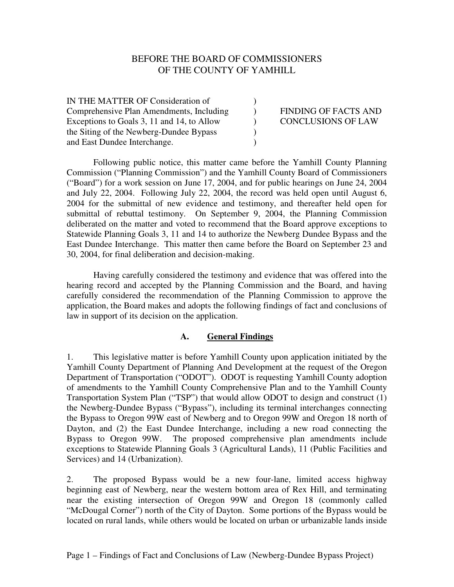## BEFORE THE BOARD OF COMMISSIONERS OF THE COUNTY OF YAMHILL

| IN THE MATTER OF Consideration of          |                             |
|--------------------------------------------|-----------------------------|
| Comprehensive Plan Amendments, Including   | <b>FINDING OF FACTS AND</b> |
| Exceptions to Goals 3, 11 and 14, to Allow | <b>CONCLUSIONS OF LAW</b>   |
| the Siting of the Newberg-Dundee Bypass    |                             |
| and East Dundee Interchange.               |                             |

Following public notice, this matter came before the Yamhill County Planning Commission ("Planning Commission") and the Yamhill County Board of Commissioners ("Board") for a work session on June 17, 2004, and for public hearings on June 24, 2004 and July 22, 2004. Following July 22, 2004, the record was held open until August 6, 2004 for the submittal of new evidence and testimony, and thereafter held open for submittal of rebuttal testimony. On September 9, 2004, the Planning Commission deliberated on the matter and voted to recommend that the Board approve exceptions to Statewide Planning Goals 3, 11 and 14 to authorize the Newberg Dundee Bypass and the East Dundee Interchange. This matter then came before the Board on September 23 and 30, 2004, for final deliberation and decision-making.

Having carefully considered the testimony and evidence that was offered into the hearing record and accepted by the Planning Commission and the Board, and having carefully considered the recommendation of the Planning Commission to approve the application, the Board makes and adopts the following findings of fact and conclusions of law in support of its decision on the application.

#### **A. General Findings**

1. This legislative matter is before Yamhill County upon application initiated by the Yamhill County Department of Planning And Development at the request of the Oregon Department of Transportation ("ODOT"). ODOT is requesting Yamhill County adoption of amendments to the Yamhill County Comprehensive Plan and to the Yamhill County Transportation System Plan ("TSP") that would allow ODOT to design and construct (1) the Newberg-Dundee Bypass ("Bypass"), including its terminal interchanges connecting the Bypass to Oregon 99W east of Newberg and to Oregon 99W and Oregon 18 north of Dayton, and (2) the East Dundee Interchange, including a new road connecting the Bypass to Oregon 99W. The proposed comprehensive plan amendments include exceptions to Statewide Planning Goals 3 (Agricultural Lands), 11 (Public Facilities and Services) and 14 (Urbanization).

2. The proposed Bypass would be a new four-lane, limited access highway beginning east of Newberg, near the western bottom area of Rex Hill, and terminating near the existing intersection of Oregon 99W and Oregon 18 (commonly called "McDougal Corner") north of the City of Dayton. Some portions of the Bypass would be located on rural lands, while others would be located on urban or urbanizable lands inside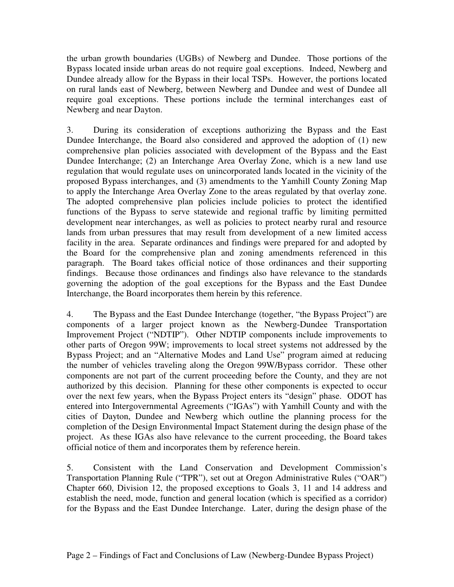the urban growth boundaries (UGBs) of Newberg and Dundee. Those portions of the Bypass located inside urban areas do not require goal exceptions. Indeed, Newberg and Dundee already allow for the Bypass in their local TSPs. However, the portions located on rural lands east of Newberg, between Newberg and Dundee and west of Dundee all require goal exceptions. These portions include the terminal interchanges east of Newberg and near Dayton.

3. During its consideration of exceptions authorizing the Bypass and the East Dundee Interchange, the Board also considered and approved the adoption of (1) new comprehensive plan policies associated with development of the Bypass and the East Dundee Interchange; (2) an Interchange Area Overlay Zone, which is a new land use regulation that would regulate uses on unincorporated lands located in the vicinity of the proposed Bypass interchanges, and (3) amendments to the Yamhill County Zoning Map to apply the Interchange Area Overlay Zone to the areas regulated by that overlay zone. The adopted comprehensive plan policies include policies to protect the identified functions of the Bypass to serve statewide and regional traffic by limiting permitted development near interchanges, as well as policies to protect nearby rural and resource lands from urban pressures that may result from development of a new limited access facility in the area. Separate ordinances and findings were prepared for and adopted by the Board for the comprehensive plan and zoning amendments referenced in this paragraph. The Board takes official notice of those ordinances and their supporting findings. Because those ordinances and findings also have relevance to the standards governing the adoption of the goal exceptions for the Bypass and the East Dundee Interchange, the Board incorporates them herein by this reference.

4. The Bypass and the East Dundee Interchange (together, "the Bypass Project") are components of a larger project known as the Newberg-Dundee Transportation Improvement Project ("NDTIP"). Other NDTIP components include improvements to other parts of Oregon 99W; improvements to local street systems not addressed by the Bypass Project; and an "Alternative Modes and Land Use" program aimed at reducing the number of vehicles traveling along the Oregon 99W/Bypass corridor. These other components are not part of the current proceeding before the County, and they are not authorized by this decision. Planning for these other components is expected to occur over the next few years, when the Bypass Project enters its "design" phase. ODOT has entered into Intergovernmental Agreements ("IGAs") with Yamhill County and with the cities of Dayton, Dundee and Newberg which outline the planning process for the completion of the Design Environmental Impact Statement during the design phase of the project. As these IGAs also have relevance to the current proceeding, the Board takes official notice of them and incorporates them by reference herein.

5. Consistent with the Land Conservation and Development Commission's Transportation Planning Rule ("TPR"), set out at Oregon Administrative Rules ("OAR") Chapter 660, Division 12, the proposed exceptions to Goals 3, 11 and 14 address and establish the need, mode, function and general location (which is specified as a corridor) for the Bypass and the East Dundee Interchange. Later, during the design phase of the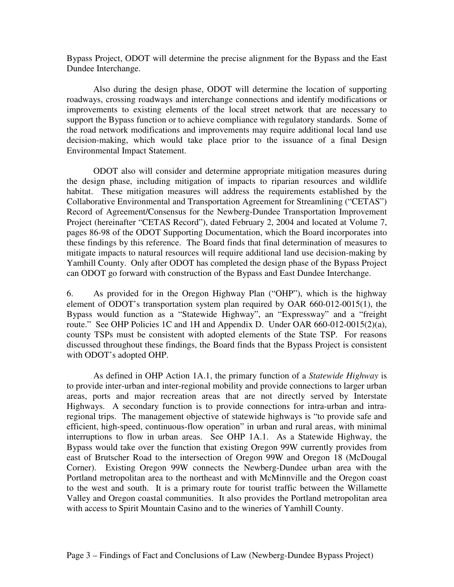Bypass Project, ODOT will determine the precise alignment for the Bypass and the East Dundee Interchange.

Also during the design phase, ODOT will determine the location of supporting roadways, crossing roadways and interchange connections and identify modifications or improvements to existing elements of the local street network that are necessary to support the Bypass function or to achieve compliance with regulatory standards. Some of the road network modifications and improvements may require additional local land use decision-making, which would take place prior to the issuance of a final Design Environmental Impact Statement.

ODOT also will consider and determine appropriate mitigation measures during the design phase, including mitigation of impacts to riparian resources and wildlife habitat. These mitigation measures will address the requirements established by the Collaborative Environmental and Transportation Agreement for Streamlining ("CETAS") Record of Agreement/Consensus for the Newberg-Dundee Transportation Improvement Project (hereinafter "CETAS Record"), dated February 2, 2004 and located at Volume 7, pages 86-98 of the ODOT Supporting Documentation, which the Board incorporates into these findings by this reference. The Board finds that final determination of measures to mitigate impacts to natural resources will require additional land use decision-making by Yamhill County. Only after ODOT has completed the design phase of the Bypass Project can ODOT go forward with construction of the Bypass and East Dundee Interchange.

6. As provided for in the Oregon Highway Plan ("OHP"), which is the highway element of ODOT's transportation system plan required by OAR 660-012-0015(1), the Bypass would function as a "Statewide Highway", an "Expressway" and a "freight route." See OHP Policies 1C and 1H and Appendix D. Under OAR 660-012-0015(2)(a), county TSPs must be consistent with adopted elements of the State TSP. For reasons discussed throughout these findings, the Board finds that the Bypass Project is consistent with ODOT's adopted OHP.

As defined in OHP Action 1A.1, the primary function of a *Statewide Highway* is to provide inter-urban and inter-regional mobility and provide connections to larger urban areas, ports and major recreation areas that are not directly served by Interstate Highways. A secondary function is to provide connections for intra-urban and intraregional trips. The management objective of statewide highways is "to provide safe and efficient, high-speed, continuous-flow operation" in urban and rural areas, with minimal interruptions to flow in urban areas. See OHP 1A.1. As a Statewide Highway, the Bypass would take over the function that existing Oregon 99W currently provides from east of Brutscher Road to the intersection of Oregon 99W and Oregon 18 (McDougal Corner). Existing Oregon 99W connects the Newberg-Dundee urban area with the Portland metropolitan area to the northeast and with McMinnville and the Oregon coast to the west and south. It is a primary route for tourist traffic between the Willamette Valley and Oregon coastal communities. It also provides the Portland metropolitan area with access to Spirit Mountain Casino and to the wineries of Yamhill County.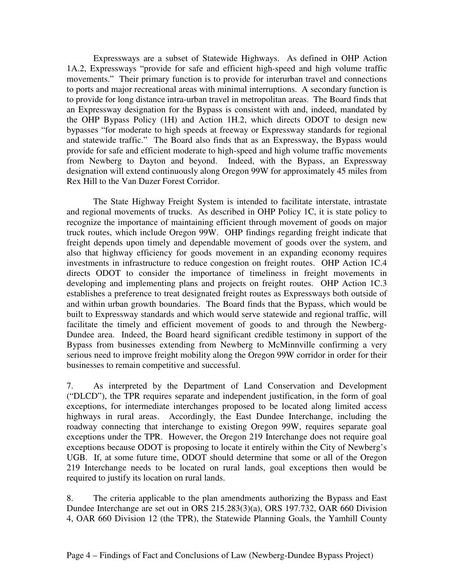Expressways are a subset of Statewide Highways. As defined in OHP Action 1A.2, Expressways "provide for safe and efficient high-speed and high volume traffic movements." Their primary function is to provide for interurban travel and connections to ports and major recreational areas with minimal interruptions. A secondary function is to provide for long distance intra-urban travel in metropolitan areas. The Board finds that an Expressway designation for the Bypass is consistent with and, indeed, mandated by the OHP Bypass Policy (1H) and Action 1H.2, which directs ODOT to design new bypasses "for moderate to high speeds at freeway or Expressway standards for regional and statewide traffic." The Board also finds that as an Expressway, the Bypass would provide for safe and efficient moderate to high-speed and high volume traffic movements from Newberg to Dayton and beyond. Indeed, with the Bypass, an Expressway designation will extend continuously along Oregon 99W for approximately 45 miles from Rex Hill to the Van Duzer Forest Corridor.

The State Highway Freight System is intended to facilitate interstate, intrastate and regional movements of trucks. As described in OHP Policy 1C, it is state policy to recognize the importance of maintaining efficient through movement of goods on major truck routes, which include Oregon 99W. OHP findings regarding freight indicate that freight depends upon timely and dependable movement of goods over the system, and also that highway efficiency for goods movement in an expanding economy requires investments in infrastructure to reduce congestion on freight routes. OHP Action 1C.4 directs ODOT to consider the importance of timeliness in freight movements in developing and implementing plans and projects on freight routes. OHP Action 1C.3 establishes a preference to treat designated freight routes as Expressways both outside of and within urban growth boundaries. The Board finds that the Bypass, which would be built to Expressway standards and which would serve statewide and regional traffic, will facilitate the timely and efficient movement of goods to and through the Newberg-Dundee area. Indeed, the Board heard significant credible testimony in support of the Bypass from businesses extending from Newberg to McMinnville confirming a very serious need to improve freight mobility along the Oregon 99W corridor in order for their businesses to remain competitive and successful.

7. As interpreted by the Department of Land Conservation and Development ("DLCD"), the TPR requires separate and independent justification, in the form of goal exceptions, for intermediate interchanges proposed to be located along limited access highways in rural areas. Accordingly, the East Dundee Interchange, including the roadway connecting that interchange to existing Oregon 99W, requires separate goal exceptions under the TPR. However, the Oregon 219 Interchange does not require goal exceptions because ODOT is proposing to locate it entirely within the City of Newberg's UGB. If, at some future time, ODOT should determine that some or all of the Oregon 219 Interchange needs to be located on rural lands, goal exceptions then would be required to justify its location on rural lands.

8. The criteria applicable to the plan amendments authorizing the Bypass and East Dundee Interchange are set out in ORS 215.283(3)(a), ORS 197.732, OAR 660 Division 4, OAR 660 Division 12 (the TPR), the Statewide Planning Goals, the Yamhill County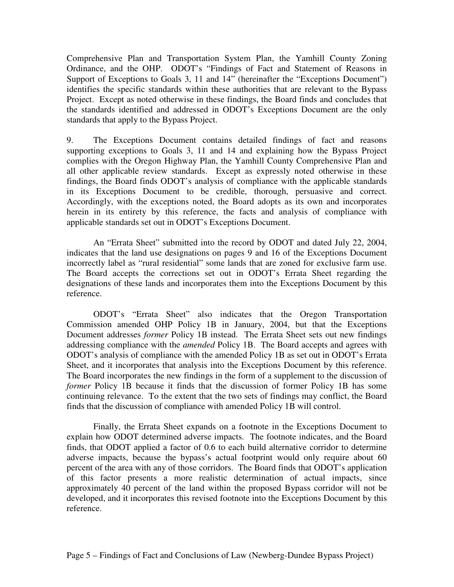Comprehensive Plan and Transportation System Plan, the Yamhill County Zoning Ordinance, and the OHP. ODOT's "Findings of Fact and Statement of Reasons in Support of Exceptions to Goals 3, 11 and 14" (hereinafter the "Exceptions Document") identifies the specific standards within these authorities that are relevant to the Bypass Project. Except as noted otherwise in these findings, the Board finds and concludes that the standards identified and addressed in ODOT's Exceptions Document are the only standards that apply to the Bypass Project.

9. The Exceptions Document contains detailed findings of fact and reasons supporting exceptions to Goals 3, 11 and 14 and explaining how the Bypass Project complies with the Oregon Highway Plan, the Yamhill County Comprehensive Plan and all other applicable review standards. Except as expressly noted otherwise in these findings, the Board finds ODOT's analysis of compliance with the applicable standards in its Exceptions Document to be credible, thorough, persuasive and correct. Accordingly, with the exceptions noted, the Board adopts as its own and incorporates herein in its entirety by this reference, the facts and analysis of compliance with applicable standards set out in ODOT's Exceptions Document.

An "Errata Sheet" submitted into the record by ODOT and dated July 22, 2004, indicates that the land use designations on pages 9 and 16 of the Exceptions Document incorrectly label as "rural residential" some lands that are zoned for exclusive farm use. The Board accepts the corrections set out in ODOT's Errata Sheet regarding the designations of these lands and incorporates them into the Exceptions Document by this reference.

ODOT's "Errata Sheet" also indicates that the Oregon Transportation Commission amended OHP Policy 1B in January, 2004, but that the Exceptions Document addresses *former* Policy 1B instead. The Errata Sheet sets out new findings addressing compliance with the *amended* Policy 1B. The Board accepts and agrees with ODOT's analysis of compliance with the amended Policy 1B as set out in ODOT's Errata Sheet, and it incorporates that analysis into the Exceptions Document by this reference. The Board incorporates the new findings in the form of a supplement to the discussion of *former* Policy 1B because it finds that the discussion of former Policy 1B has some continuing relevance. To the extent that the two sets of findings may conflict, the Board finds that the discussion of compliance with amended Policy 1B will control.

Finally, the Errata Sheet expands on a footnote in the Exceptions Document to explain how ODOT determined adverse impacts. The footnote indicates, and the Board finds, that ODOT applied a factor of 0.6 to each build alternative corridor to determine adverse impacts, because the bypass's actual footprint would only require about 60 percent of the area with any of those corridors. The Board finds that ODOT's application of this factor presents a more realistic determination of actual impacts, since approximately 40 percent of the land within the proposed Bypass corridor will not be developed, and it incorporates this revised footnote into the Exceptions Document by this reference.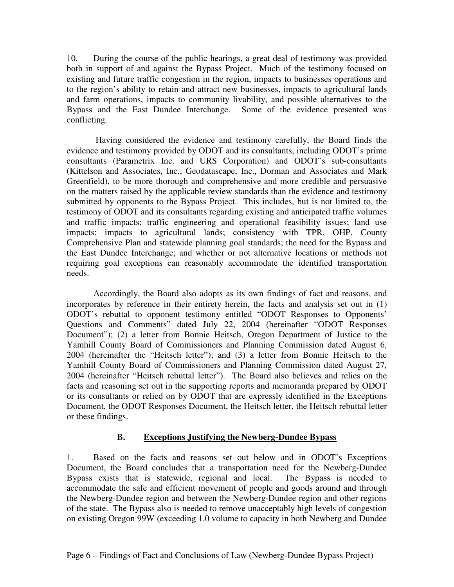10. During the course of the public hearings, a great deal of testimony was provided both in support of and against the Bypass Project. Much of the testimony focused on existing and future traffic congestion in the region, impacts to businesses operations and to the region's ability to retain and attract new businesses, impacts to agricultural lands and farm operations, impacts to community livability, and possible alternatives to the Bypass and the East Dundee Interchange. Some of the evidence presented was conflicting.

Having considered the evidence and testimony carefully, the Board finds the evidence and testimony provided by ODOT and its consultants, including ODOT's prime consultants (Parametrix Inc. and URS Corporation) and ODOT's sub-consultants (Kittelson and Associates, Inc., Geodatascape, Inc., Dorman and Associates and Mark Greenfield), to be more thorough and comprehensive and more credible and persuasive on the matters raised by the applicable review standards than the evidence and testimony submitted by opponents to the Bypass Project. This includes, but is not limited to, the testimony of ODOT and its consultants regarding existing and anticipated traffic volumes and traffic impacts; traffic engineering and operational feasibility issues; land use impacts; impacts to agricultural lands; consistency with TPR, OHP, County Comprehensive Plan and statewide planning goal standards; the need for the Bypass and the East Dundee Interchange; and whether or not alternative locations or methods not requiring goal exceptions can reasonably accommodate the identified transportation needs.

Accordingly, the Board also adopts as its own findings of fact and reasons, and incorporates by reference in their entirety herein, the facts and analysis set out in (1) ODOT's rebuttal to opponent testimony entitled "ODOT Responses to Opponents' Questions and Comments" dated July 22, 2004 (hereinafter "ODOT Responses Document"); (2) a letter from Bonnie Heitsch, Oregon Department of Justice to the Yamhill County Board of Commissioners and Planning Commission dated August 6, 2004 (hereinafter the "Heitsch letter"); and (3) a letter from Bonnie Heitsch to the Yamhill County Board of Commissioners and Planning Commission dated August 27, 2004 (hereinafter "Heitsch rebuttal letter"). The Board also believes and relies on the facts and reasoning set out in the supporting reports and memoranda prepared by ODOT or its consultants or relied on by ODOT that are expressly identified in the Exceptions Document, the ODOT Responses Document, the Heitsch letter, the Heitsch rebuttal letter or these findings.

## **B. Exceptions Justifying the Newberg-Dundee Bypass**

1. Based on the facts and reasons set out below and in ODOT's Exceptions Document, the Board concludes that a transportation need for the Newberg-Dundee Bypass exists that is statewide, regional and local. The Bypass is needed to accommodate the safe and efficient movement of people and goods around and through the Newberg-Dundee region and between the Newberg-Dundee region and other regions of the state. The Bypass also is needed to remove unacceptably high levels of congestion on existing Oregon 99W (exceeding 1.0 volume to capacity in both Newberg and Dundee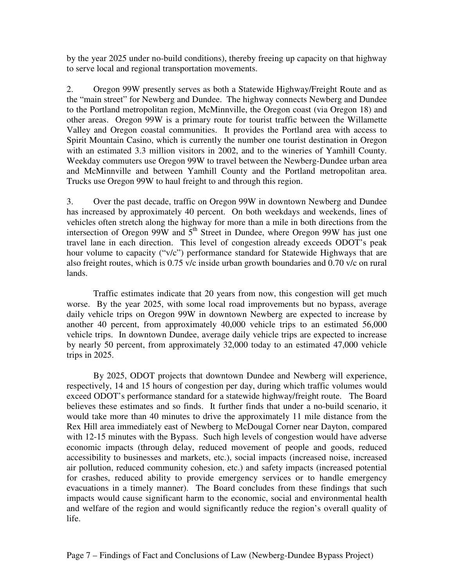by the year 2025 under no-build conditions), thereby freeing up capacity on that highway to serve local and regional transportation movements.

2. Oregon 99W presently serves as both a Statewide Highway/Freight Route and as the "main street" for Newberg and Dundee. The highway connects Newberg and Dundee to the Portland metropolitan region, McMinnville, the Oregon coast (via Oregon 18) and other areas. Oregon 99W is a primary route for tourist traffic between the Willamette Valley and Oregon coastal communities. It provides the Portland area with access to Spirit Mountain Casino, which is currently the number one tourist destination in Oregon with an estimated 3.3 million visitors in 2002, and to the wineries of Yamhill County. Weekday commuters use Oregon 99W to travel between the Newberg-Dundee urban area and McMinnville and between Yamhill County and the Portland metropolitan area. Trucks use Oregon 99W to haul freight to and through this region.

3. Over the past decade, traffic on Oregon 99W in downtown Newberg and Dundee has increased by approximately 40 percent. On both weekdays and weekends, lines of vehicles often stretch along the highway for more than a mile in both directions from the intersection of Oregon  $99W$  and  $5<sup>th</sup>$  Street in Dundee, where Oregon  $99W$  has just one travel lane in each direction. This level of congestion already exceeds ODOT's peak hour volume to capacity ("v/c") performance standard for Statewide Highways that are also freight routes, which is 0.75 v/c inside urban growth boundaries and 0.70 v/c on rural lands.

Traffic estimates indicate that 20 years from now, this congestion will get much worse. By the year 2025, with some local road improvements but no bypass, average daily vehicle trips on Oregon 99W in downtown Newberg are expected to increase by another 40 percent, from approximately 40,000 vehicle trips to an estimated 56,000 vehicle trips. In downtown Dundee, average daily vehicle trips are expected to increase by nearly 50 percent, from approximately 32,000 today to an estimated 47,000 vehicle trips in 2025.

By 2025, ODOT projects that downtown Dundee and Newberg will experience, respectively, 14 and 15 hours of congestion per day, during which traffic volumes would exceed ODOT's performance standard for a statewide highway/freight route. The Board believes these estimates and so finds. It further finds that under a no-build scenario, it would take more than 40 minutes to drive the approximately 11 mile distance from the Rex Hill area immediately east of Newberg to McDougal Corner near Dayton, compared with 12-15 minutes with the Bypass. Such high levels of congestion would have adverse economic impacts (through delay, reduced movement of people and goods, reduced accessibility to businesses and markets, etc.), social impacts (increased noise, increased air pollution, reduced community cohesion, etc.) and safety impacts (increased potential for crashes, reduced ability to provide emergency services or to handle emergency evacuations in a timely manner). The Board concludes from these findings that such impacts would cause significant harm to the economic, social and environmental health and welfare of the region and would significantly reduce the region's overall quality of life.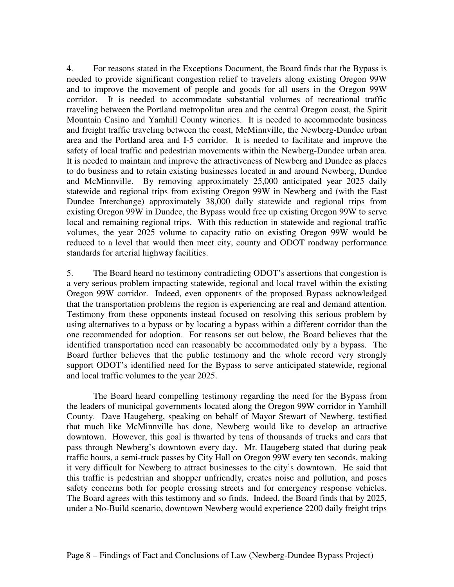4. For reasons stated in the Exceptions Document, the Board finds that the Bypass is needed to provide significant congestion relief to travelers along existing Oregon 99W and to improve the movement of people and goods for all users in the Oregon 99W corridor. It is needed to accommodate substantial volumes of recreational traffic traveling between the Portland metropolitan area and the central Oregon coast, the Spirit Mountain Casino and Yamhill County wineries. It is needed to accommodate business and freight traffic traveling between the coast, McMinnville, the Newberg-Dundee urban area and the Portland area and I-5 corridor. It is needed to facilitate and improve the safety of local traffic and pedestrian movements within the Newberg-Dundee urban area. It is needed to maintain and improve the attractiveness of Newberg and Dundee as places to do business and to retain existing businesses located in and around Newberg, Dundee and McMinnville. By removing approximately 25,000 anticipated year 2025 daily statewide and regional trips from existing Oregon 99W in Newberg and (with the East Dundee Interchange) approximately 38,000 daily statewide and regional trips from existing Oregon 99W in Dundee, the Bypass would free up existing Oregon 99W to serve local and remaining regional trips. With this reduction in statewide and regional traffic volumes, the year 2025 volume to capacity ratio on existing Oregon 99W would be reduced to a level that would then meet city, county and ODOT roadway performance standards for arterial highway facilities.

5. The Board heard no testimony contradicting ODOT's assertions that congestion is a very serious problem impacting statewide, regional and local travel within the existing Oregon 99W corridor. Indeed, even opponents of the proposed Bypass acknowledged that the transportation problems the region is experiencing are real and demand attention. Testimony from these opponents instead focused on resolving this serious problem by using alternatives to a bypass or by locating a bypass within a different corridor than the one recommended for adoption. For reasons set out below, the Board believes that the identified transportation need can reasonably be accommodated only by a bypass. The Board further believes that the public testimony and the whole record very strongly support ODOT's identified need for the Bypass to serve anticipated statewide, regional and local traffic volumes to the year 2025.

The Board heard compelling testimony regarding the need for the Bypass from the leaders of municipal governments located along the Oregon 99W corridor in Yamhill County. Dave Haugeberg, speaking on behalf of Mayor Stewart of Newberg, testified that much like McMinnville has done, Newberg would like to develop an attractive downtown. However, this goal is thwarted by tens of thousands of trucks and cars that pass through Newberg's downtown every day. Mr. Haugeberg stated that during peak traffic hours, a semi-truck passes by City Hall on Oregon 99W every ten seconds, making it very difficult for Newberg to attract businesses to the city's downtown. He said that this traffic is pedestrian and shopper unfriendly, creates noise and pollution, and poses safety concerns both for people crossing streets and for emergency response vehicles. The Board agrees with this testimony and so finds. Indeed, the Board finds that by 2025, under a No-Build scenario, downtown Newberg would experience 2200 daily freight trips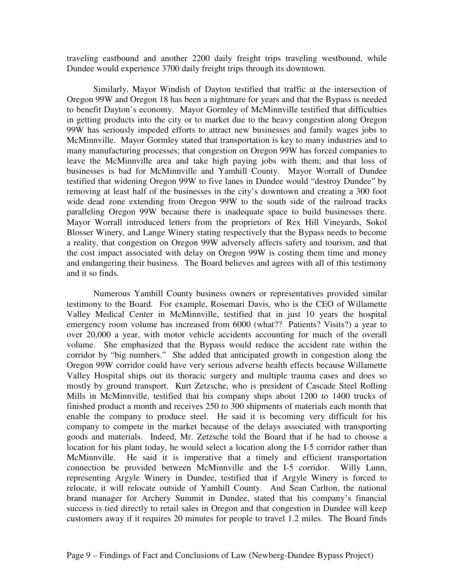traveling eastbound and another 2200 daily freight trips traveling westbound, while Dundee would experience 3700 daily freight trips through its downtown.

Similarly, Mayor Windish of Dayton testified that traffic at the intersection of Oregon 99W and Oregon 18 has been a nightmare for years and that the Bypass is needed to benefit Dayton's economy. Mayor Gormley of McMinnville testified that difficulties in getting products into the city or to market due to the heavy congestion along Oregon 99W has seriously impeded efforts to attract new businesses and family wages jobs to McMinnville. Mayor Gormley stated that transportation is key to many industries and to many manufacturing processes; that congestion on Oregon 99W has forced companies to leave the McMinnville area and take high paying jobs with them; and that loss of businesses is bad for McMinnville and Yamhill County. Mayor Worrall of Dundee testified that widening Oregon 99W to five lanes in Dundee would "destroy Dundee" by removing at least half of the businesses in the city's downtown and creating a 300 foot wide dead zone extending from Oregon 99W to the south side of the railroad tracks paralleling Oregon 99W because there is inadequate space to build businesses there. Mayor Worrall introduced letters from the proprietors of Rex Hill Vineyards, Sokol Blosser Winery, and Lange Winery stating respectively that the Bypass needs to become a reality, that congestion on Oregon 99W adversely affects safety and tourism, and that the cost impact associated with delay on Oregon 99W is costing them time and money and endangering their business. The Board believes and agrees with all of this testimony and it so finds.

Numerous Yamhill County business owners or representatives provided similar testimony to the Board. For example, Rosemari Davis, who is the CEO of Willamette Valley Medical Center in McMinnville, testified that in just 10 years the hospital emergency room volume has increased from 6000 (what?? Patients? Visits?) a year to over 20,000 a year, with motor vehicle accidents accounting for much of the overall volume. She emphasized that the Bypass would reduce the accident rate within the corridor by "big numbers." She added that anticipated growth in congestion along the Oregon 99W corridor could have very serious adverse health effects because Willamette Valley Hospital ships out its thoracic surgery and multiple trauma cases and does so mostly by ground transport. Kurt Zetzsche, who is president of Cascade Steel Rolling Mills in McMinnville, testified that his company ships about 1200 to 1400 trucks of finished product a month and receives 250 to 300 shipments of materials each month that enable the company to produce steel. He said it is becoming very difficult for his company to compete in the market because of the delays associated with transporting goods and materials. Indeed, Mr. Zetzsche told the Board that if he had to choose a location for his plant today, he would select a location along the I-5 corridor rather than McMinnville. He said it is imperative that a timely and efficient transportation connection be provided between McMinnville and the I-5 corridor. Willy Lunn, representing Argyle Winery in Dundee, testified that if Argyle Winery is forced to relocate, it will relocate outside of Yamhill County. And Sean Carlton, the national brand manager for Archery Summit in Dundee, stated that his company's financial success is tied directly to retail sales in Oregon and that congestion in Dundee will keep customers away if it requires 20 minutes for people to travel 1.2 miles. The Board finds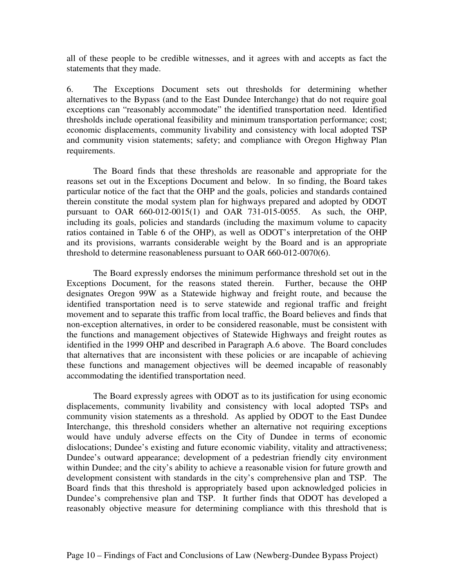all of these people to be credible witnesses, and it agrees with and accepts as fact the statements that they made.

6. The Exceptions Document sets out thresholds for determining whether alternatives to the Bypass (and to the East Dundee Interchange) that do not require goal exceptions can "reasonably accommodate" the identified transportation need. Identified thresholds include operational feasibility and minimum transportation performance; cost; economic displacements, community livability and consistency with local adopted TSP and community vision statements; safety; and compliance with Oregon Highway Plan requirements.

The Board finds that these thresholds are reasonable and appropriate for the reasons set out in the Exceptions Document and below. In so finding, the Board takes particular notice of the fact that the OHP and the goals, policies and standards contained therein constitute the modal system plan for highways prepared and adopted by ODOT pursuant to OAR 660-012-0015(1) and OAR 731-015-0055. As such, the OHP, including its goals, policies and standards (including the maximum volume to capacity ratios contained in Table 6 of the OHP), as well as ODOT's interpretation of the OHP and its provisions, warrants considerable weight by the Board and is an appropriate threshold to determine reasonableness pursuant to OAR 660-012-0070(6).

The Board expressly endorses the minimum performance threshold set out in the Exceptions Document, for the reasons stated therein. Further, because the OHP designates Oregon 99W as a Statewide highway and freight route, and because the identified transportation need is to serve statewide and regional traffic and freight movement and to separate this traffic from local traffic, the Board believes and finds that non-exception alternatives, in order to be considered reasonable, must be consistent with the functions and management objectives of Statewide Highways and freight routes as identified in the 1999 OHP and described in Paragraph A.6 above. The Board concludes that alternatives that are inconsistent with these policies or are incapable of achieving these functions and management objectives will be deemed incapable of reasonably accommodating the identified transportation need.

The Board expressly agrees with ODOT as to its justification for using economic displacements, community livability and consistency with local adopted TSPs and community vision statements as a threshold. As applied by ODOT to the East Dundee Interchange, this threshold considers whether an alternative not requiring exceptions would have unduly adverse effects on the City of Dundee in terms of economic dislocations; Dundee's existing and future economic viability, vitality and attractiveness; Dundee's outward appearance; development of a pedestrian friendly city environment within Dundee; and the city's ability to achieve a reasonable vision for future growth and development consistent with standards in the city's comprehensive plan and TSP. The Board finds that this threshold is appropriately based upon acknowledged policies in Dundee's comprehensive plan and TSP. It further finds that ODOT has developed a reasonably objective measure for determining compliance with this threshold that is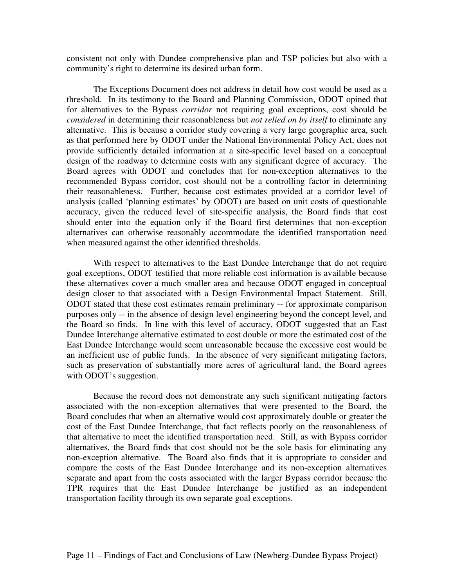consistent not only with Dundee comprehensive plan and TSP policies but also with a community's right to determine its desired urban form.

The Exceptions Document does not address in detail how cost would be used as a threshold. In its testimony to the Board and Planning Commission, ODOT opined that for alternatives to the Bypass *corridor* not requiring goal exceptions, cost should be *considered* in determining their reasonableness but *not relied on by itself* to eliminate any alternative. This is because a corridor study covering a very large geographic area, such as that performed here by ODOT under the National Environmental Policy Act, does not provide sufficiently detailed information at a site-specific level based on a conceptual design of the roadway to determine costs with any significant degree of accuracy. The Board agrees with ODOT and concludes that for non-exception alternatives to the recommended Bypass corridor, cost should not be a controlling factor in determining their reasonableness. Further, because cost estimates provided at a corridor level of analysis (called 'planning estimates' by ODOT) are based on unit costs of questionable accuracy, given the reduced level of site-specific analysis, the Board finds that cost should enter into the equation only if the Board first determines that non-exception alternatives can otherwise reasonably accommodate the identified transportation need when measured against the other identified thresholds.

With respect to alternatives to the East Dundee Interchange that do not require goal exceptions, ODOT testified that more reliable cost information is available because these alternatives cover a much smaller area and because ODOT engaged in conceptual design closer to that associated with a Design Environmental Impact Statement. Still, ODOT stated that these cost estimates remain preliminary -- for approximate comparison purposes only -- in the absence of design level engineering beyond the concept level, and the Board so finds. In line with this level of accuracy, ODOT suggested that an East Dundee Interchange alternative estimated to cost double or more the estimated cost of the East Dundee Interchange would seem unreasonable because the excessive cost would be an inefficient use of public funds. In the absence of very significant mitigating factors, such as preservation of substantially more acres of agricultural land, the Board agrees with ODOT's suggestion.

Because the record does not demonstrate any such significant mitigating factors associated with the non-exception alternatives that were presented to the Board, the Board concludes that when an alternative would cost approximately double or greater the cost of the East Dundee Interchange, that fact reflects poorly on the reasonableness of that alternative to meet the identified transportation need. Still, as with Bypass corridor alternatives, the Board finds that cost should not be the sole basis for eliminating any non-exception alternative. The Board also finds that it is appropriate to consider and compare the costs of the East Dundee Interchange and its non-exception alternatives separate and apart from the costs associated with the larger Bypass corridor because the TPR requires that the East Dundee Interchange be justified as an independent transportation facility through its own separate goal exceptions.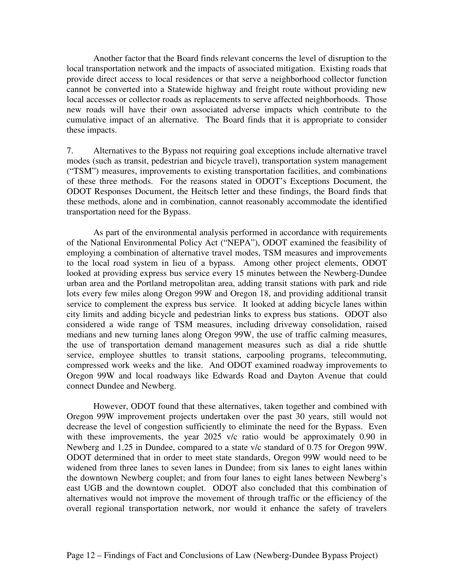Another factor that the Board finds relevant concerns the level of disruption to the local transportation network and the impacts of associated mitigation. Existing roads that provide direct access to local residences or that serve a neighborhood collector function cannot be converted into a Statewide highway and freight route without providing new local accesses or collector roads as replacements to serve affected neighborhoods. Those new roads will have their own associated adverse impacts which contribute to the cumulative impact of an alternative. The Board finds that it is appropriate to consider these impacts.

7. Alternatives to the Bypass not requiring goal exceptions include alternative travel modes (such as transit, pedestrian and bicycle travel), transportation system management ("TSM") measures, improvements to existing transportation facilities, and combinations of these three methods. For the reasons stated in ODOT's Exceptions Document, the ODOT Responses Document, the Heitsch letter and these findings, the Board finds that these methods, alone and in combination, cannot reasonably accommodate the identified transportation need for the Bypass.

As part of the environmental analysis performed in accordance with requirements of the National Environmental Policy Act ("NEPA"), ODOT examined the feasibility of employing a combination of alternative travel modes, TSM measures and improvements to the local road system in lieu of a bypass. Among other project elements, ODOT looked at providing express bus service every 15 minutes between the Newberg-Dundee urban area and the Portland metropolitan area, adding transit stations with park and ride lots every few miles along Oregon 99W and Oregon 18, and providing additional transit service to complement the express bus service. It looked at adding bicycle lanes within city limits and adding bicycle and pedestrian links to express bus stations. ODOT also considered a wide range of TSM measures, including driveway consolidation, raised medians and new turning lanes along Oregon 99W, the use of traffic calming measures, the use of transportation demand management measures such as dial a ride shuttle service, employee shuttles to transit stations, carpooling programs, telecommuting, compressed work weeks and the like. And ODOT examined roadway improvements to Oregon 99W and local roadways like Edwards Road and Dayton Avenue that could connect Dundee and Newberg.

However, ODOT found that these alternatives, taken together and combined with Oregon 99W improvement projects undertaken over the past 30 years, still would not decrease the level of congestion sufficiently to eliminate the need for the Bypass. Even with these improvements, the year 2025 v/c ratio would be approximately 0.90 in Newberg and 1.25 in Dundee, compared to a state v/c standard of 0.75 for Oregon 99W. ODOT determined that in order to meet state standards, Oregon 99W would need to be widened from three lanes to seven lanes in Dundee; from six lanes to eight lanes within the downtown Newberg couplet; and from four lanes to eight lanes between Newberg's east UGB and the downtown couplet. ODOT also concluded that this combination of alternatives would not improve the movement of through traffic or the efficiency of the overall regional transportation network, nor would it enhance the safety of travelers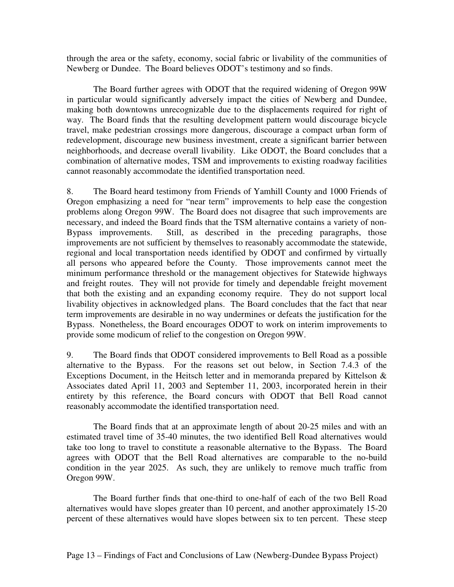through the area or the safety, economy, social fabric or livability of the communities of Newberg or Dundee. The Board believes ODOT's testimony and so finds.

The Board further agrees with ODOT that the required widening of Oregon 99W in particular would significantly adversely impact the cities of Newberg and Dundee, making both downtowns unrecognizable due to the displacements required for right of way. The Board finds that the resulting development pattern would discourage bicycle travel, make pedestrian crossings more dangerous, discourage a compact urban form of redevelopment, discourage new business investment, create a significant barrier between neighborhoods, and decrease overall livability. Like ODOT, the Board concludes that a combination of alternative modes, TSM and improvements to existing roadway facilities cannot reasonably accommodate the identified transportation need.

8. The Board heard testimony from Friends of Yamhill County and 1000 Friends of Oregon emphasizing a need for "near term" improvements to help ease the congestion problems along Oregon 99W. The Board does not disagree that such improvements are necessary, and indeed the Board finds that the TSM alternative contains a variety of non-Bypass improvements. Still, as described in the preceding paragraphs, those improvements are not sufficient by themselves to reasonably accommodate the statewide, regional and local transportation needs identified by ODOT and confirmed by virtually all persons who appeared before the County. Those improvements cannot meet the minimum performance threshold or the management objectives for Statewide highways and freight routes. They will not provide for timely and dependable freight movement that both the existing and an expanding economy require. They do not support local livability objectives in acknowledged plans. The Board concludes that the fact that near term improvements are desirable in no way undermines or defeats the justification for the Bypass. Nonetheless, the Board encourages ODOT to work on interim improvements to provide some modicum of relief to the congestion on Oregon 99W.

9. The Board finds that ODOT considered improvements to Bell Road as a possible alternative to the Bypass. For the reasons set out below, in Section 7.4.3 of the Exceptions Document, in the Heitsch letter and in memoranda prepared by Kittelson & Associates dated April 11, 2003 and September 11, 2003, incorporated herein in their entirety by this reference, the Board concurs with ODOT that Bell Road cannot reasonably accommodate the identified transportation need.

The Board finds that at an approximate length of about 20-25 miles and with an estimated travel time of 35-40 minutes, the two identified Bell Road alternatives would take too long to travel to constitute a reasonable alternative to the Bypass. The Board agrees with ODOT that the Bell Road alternatives are comparable to the no-build condition in the year 2025. As such, they are unlikely to remove much traffic from Oregon 99W.

The Board further finds that one-third to one-half of each of the two Bell Road alternatives would have slopes greater than 10 percent, and another approximately 15-20 percent of these alternatives would have slopes between six to ten percent. These steep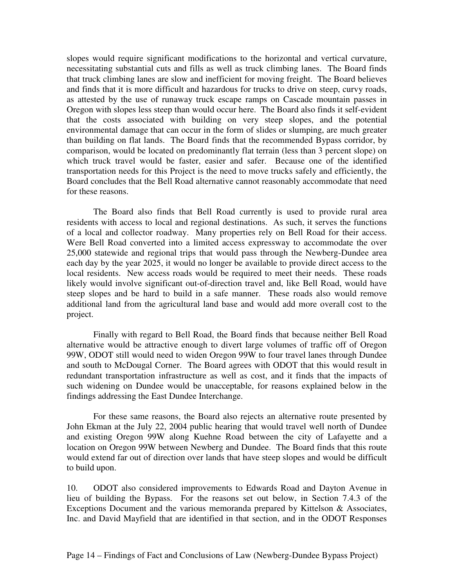slopes would require significant modifications to the horizontal and vertical curvature, necessitating substantial cuts and fills as well as truck climbing lanes. The Board finds that truck climbing lanes are slow and inefficient for moving freight. The Board believes and finds that it is more difficult and hazardous for trucks to drive on steep, curvy roads, as attested by the use of runaway truck escape ramps on Cascade mountain passes in Oregon with slopes less steep than would occur here. The Board also finds it self-evident that the costs associated with building on very steep slopes, and the potential environmental damage that can occur in the form of slides or slumping, are much greater than building on flat lands. The Board finds that the recommended Bypass corridor, by comparison, would be located on predominantly flat terrain (less than 3 percent slope) on which truck travel would be faster, easier and safer. Because one of the identified transportation needs for this Project is the need to move trucks safely and efficiently, the Board concludes that the Bell Road alternative cannot reasonably accommodate that need for these reasons.

The Board also finds that Bell Road currently is used to provide rural area residents with access to local and regional destinations. As such, it serves the functions of a local and collector roadway. Many properties rely on Bell Road for their access. Were Bell Road converted into a limited access expressway to accommodate the over 25,000 statewide and regional trips that would pass through the Newberg-Dundee area each day by the year 2025, it would no longer be available to provide direct access to the local residents. New access roads would be required to meet their needs. These roads likely would involve significant out-of-direction travel and, like Bell Road, would have steep slopes and be hard to build in a safe manner. These roads also would remove additional land from the agricultural land base and would add more overall cost to the project.

Finally with regard to Bell Road, the Board finds that because neither Bell Road alternative would be attractive enough to divert large volumes of traffic off of Oregon 99W, ODOT still would need to widen Oregon 99W to four travel lanes through Dundee and south to McDougal Corner. The Board agrees with ODOT that this would result in redundant transportation infrastructure as well as cost, and it finds that the impacts of such widening on Dundee would be unacceptable, for reasons explained below in the findings addressing the East Dundee Interchange.

For these same reasons, the Board also rejects an alternative route presented by John Ekman at the July 22, 2004 public hearing that would travel well north of Dundee and existing Oregon 99W along Kuehne Road between the city of Lafayette and a location on Oregon 99W between Newberg and Dundee. The Board finds that this route would extend far out of direction over lands that have steep slopes and would be difficult to build upon.

10. ODOT also considered improvements to Edwards Road and Dayton Avenue in lieu of building the Bypass. For the reasons set out below, in Section 7.4.3 of the Exceptions Document and the various memoranda prepared by Kittelson & Associates, Inc. and David Mayfield that are identified in that section, and in the ODOT Responses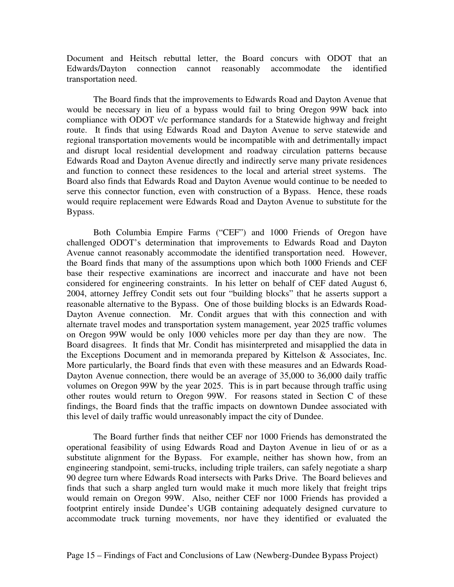Document and Heitsch rebuttal letter, the Board concurs with ODOT that an Edwards/Dayton connection cannot reasonably accommodate the identified transportation need.

The Board finds that the improvements to Edwards Road and Dayton Avenue that would be necessary in lieu of a bypass would fail to bring Oregon 99W back into compliance with ODOT v/c performance standards for a Statewide highway and freight route. It finds that using Edwards Road and Dayton Avenue to serve statewide and regional transportation movements would be incompatible with and detrimentally impact and disrupt local residential development and roadway circulation patterns because Edwards Road and Dayton Avenue directly and indirectly serve many private residences and function to connect these residences to the local and arterial street systems. The Board also finds that Edwards Road and Dayton Avenue would continue to be needed to serve this connector function, even with construction of a Bypass. Hence, these roads would require replacement were Edwards Road and Dayton Avenue to substitute for the Bypass.

Both Columbia Empire Farms ("CEF") and 1000 Friends of Oregon have challenged ODOT's determination that improvements to Edwards Road and Dayton Avenue cannot reasonably accommodate the identified transportation need. However, the Board finds that many of the assumptions upon which both 1000 Friends and CEF base their respective examinations are incorrect and inaccurate and have not been considered for engineering constraints. In his letter on behalf of CEF dated August 6, 2004, attorney Jeffrey Condit sets out four "building blocks" that he asserts support a reasonable alternative to the Bypass. One of those building blocks is an Edwards Road-Dayton Avenue connection. Mr. Condit argues that with this connection and with alternate travel modes and transportation system management, year 2025 traffic volumes on Oregon 99W would be only 1000 vehicles more per day than they are now. The Board disagrees. It finds that Mr. Condit has misinterpreted and misapplied the data in the Exceptions Document and in memoranda prepared by Kittelson & Associates, Inc. More particularly, the Board finds that even with these measures and an Edwards Road-Dayton Avenue connection, there would be an average of 35,000 to 36,000 daily traffic volumes on Oregon 99W by the year 2025. This is in part because through traffic using other routes would return to Oregon 99W. For reasons stated in Section C of these findings, the Board finds that the traffic impacts on downtown Dundee associated with this level of daily traffic would unreasonably impact the city of Dundee.

The Board further finds that neither CEF nor 1000 Friends has demonstrated the operational feasibility of using Edwards Road and Dayton Avenue in lieu of or as a substitute alignment for the Bypass. For example, neither has shown how, from an engineering standpoint, semi-trucks, including triple trailers, can safely negotiate a sharp 90 degree turn where Edwards Road intersects with Parks Drive. The Board believes and finds that such a sharp angled turn would make it much more likely that freight trips would remain on Oregon 99W. Also, neither CEF nor 1000 Friends has provided a footprint entirely inside Dundee's UGB containing adequately designed curvature to accommodate truck turning movements, nor have they identified or evaluated the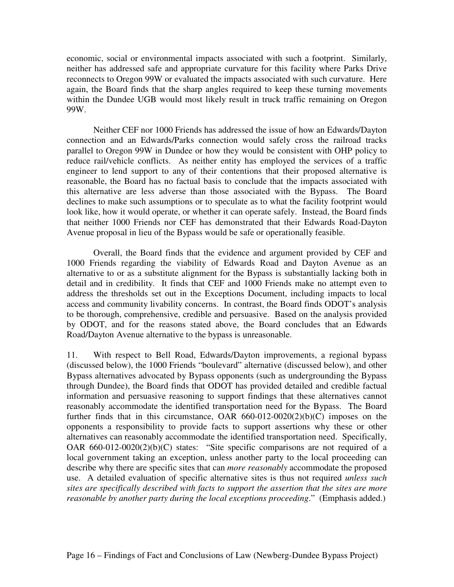economic, social or environmental impacts associated with such a footprint. Similarly, neither has addressed safe and appropriate curvature for this facility where Parks Drive reconnects to Oregon 99W or evaluated the impacts associated with such curvature. Here again, the Board finds that the sharp angles required to keep these turning movements within the Dundee UGB would most likely result in truck traffic remaining on Oregon 99W.

Neither CEF nor 1000 Friends has addressed the issue of how an Edwards/Dayton connection and an Edwards/Parks connection would safely cross the railroad tracks parallel to Oregon 99W in Dundee or how they would be consistent with OHP policy to reduce rail/vehicle conflicts. As neither entity has employed the services of a traffic engineer to lend support to any of their contentions that their proposed alternative is reasonable, the Board has no factual basis to conclude that the impacts associated with this alternative are less adverse than those associated with the Bypass. The Board declines to make such assumptions or to speculate as to what the facility footprint would look like, how it would operate, or whether it can operate safely. Instead, the Board finds that neither 1000 Friends nor CEF has demonstrated that their Edwards Road-Dayton Avenue proposal in lieu of the Bypass would be safe or operationally feasible.

Overall, the Board finds that the evidence and argument provided by CEF and 1000 Friends regarding the viability of Edwards Road and Dayton Avenue as an alternative to or as a substitute alignment for the Bypass is substantially lacking both in detail and in credibility. It finds that CEF and 1000 Friends make no attempt even to address the thresholds set out in the Exceptions Document, including impacts to local access and community livability concerns. In contrast, the Board finds ODOT's analysis to be thorough, comprehensive, credible and persuasive. Based on the analysis provided by ODOT, and for the reasons stated above, the Board concludes that an Edwards Road/Dayton Avenue alternative to the bypass is unreasonable.

11. With respect to Bell Road, Edwards/Dayton improvements, a regional bypass (discussed below), the 1000 Friends "boulevard" alternative (discussed below), and other Bypass alternatives advocated by Bypass opponents (such as undergrounding the Bypass through Dundee), the Board finds that ODOT has provided detailed and credible factual information and persuasive reasoning to support findings that these alternatives cannot reasonably accommodate the identified transportation need for the Bypass. The Board further finds that in this circumstance, OAR  $660-012-0020(2)(b)(C)$  imposes on the opponents a responsibility to provide facts to support assertions why these or other alternatives can reasonably accommodate the identified transportation need. Specifically, OAR  $660-012-0020(2)(b)(C)$  states: "Site specific comparisons are not required of a local government taking an exception, unless another party to the local proceeding can describe why there are specific sites that can *more reasonably* accommodate the proposed use. A detailed evaluation of specific alternative sites is thus not required *unless such sites are specifically described with facts to support the assertion that the sites are more reasonable by another party during the local exceptions proceeding*." (Emphasis added.)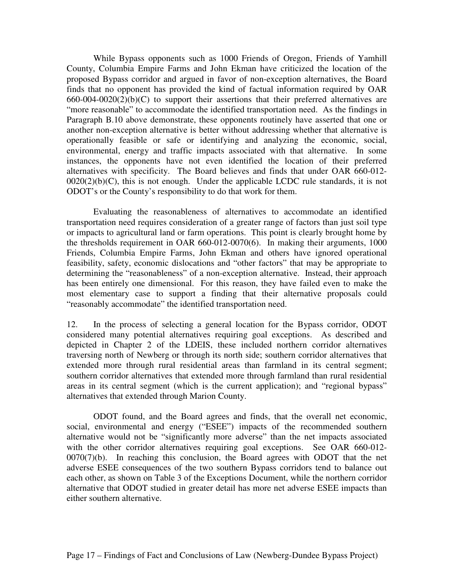While Bypass opponents such as 1000 Friends of Oregon, Friends of Yamhill County, Columbia Empire Farms and John Ekman have criticized the location of the proposed Bypass corridor and argued in favor of non-exception alternatives, the Board finds that no opponent has provided the kind of factual information required by OAR  $660-004-0020(2)(b)(C)$  to support their assertions that their preferred alternatives are "more reasonable" to accommodate the identified transportation need. As the findings in Paragraph B.10 above demonstrate, these opponents routinely have asserted that one or another non-exception alternative is better without addressing whether that alternative is operationally feasible or safe or identifying and analyzing the economic, social, environmental, energy and traffic impacts associated with that alternative. In some instances, the opponents have not even identified the location of their preferred alternatives with specificity. The Board believes and finds that under OAR 660-012-  $0020(2)(b)(C)$ , this is not enough. Under the applicable LCDC rule standards, it is not ODOT's or the County's responsibility to do that work for them.

Evaluating the reasonableness of alternatives to accommodate an identified transportation need requires consideration of a greater range of factors than just soil type or impacts to agricultural land or farm operations. This point is clearly brought home by the thresholds requirement in OAR 660-012-0070(6). In making their arguments, 1000 Friends, Columbia Empire Farms, John Ekman and others have ignored operational feasibility, safety, economic dislocations and "other factors" that may be appropriate to determining the "reasonableness" of a non-exception alternative. Instead, their approach has been entirely one dimensional. For this reason, they have failed even to make the most elementary case to support a finding that their alternative proposals could "reasonably accommodate" the identified transportation need.

12. In the process of selecting a general location for the Bypass corridor, ODOT considered many potential alternatives requiring goal exceptions. As described and depicted in Chapter 2 of the LDEIS, these included northern corridor alternatives traversing north of Newberg or through its north side; southern corridor alternatives that extended more through rural residential areas than farmland in its central segment; southern corridor alternatives that extended more through farmland than rural residential areas in its central segment (which is the current application); and "regional bypass" alternatives that extended through Marion County.

ODOT found, and the Board agrees and finds, that the overall net economic, social, environmental and energy ("ESEE") impacts of the recommended southern alternative would not be "significantly more adverse" than the net impacts associated with the other corridor alternatives requiring goal exceptions. See OAR 660-012- $0070(7)(b)$ . In reaching this conclusion, the Board agrees with ODOT that the net adverse ESEE consequences of the two southern Bypass corridors tend to balance out each other, as shown on Table 3 of the Exceptions Document, while the northern corridor alternative that ODOT studied in greater detail has more net adverse ESEE impacts than either southern alternative.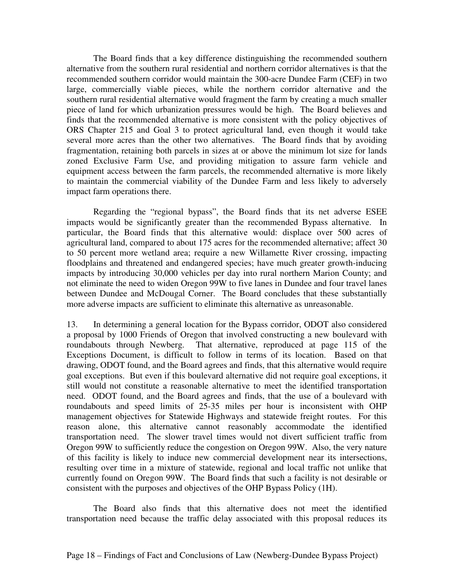The Board finds that a key difference distinguishing the recommended southern alternative from the southern rural residential and northern corridor alternatives is that the recommended southern corridor would maintain the 300-acre Dundee Farm (CEF) in two large, commercially viable pieces, while the northern corridor alternative and the southern rural residential alternative would fragment the farm by creating a much smaller piece of land for which urbanization pressures would be high. The Board believes and finds that the recommended alternative is more consistent with the policy objectives of ORS Chapter 215 and Goal 3 to protect agricultural land, even though it would take several more acres than the other two alternatives. The Board finds that by avoiding fragmentation, retaining both parcels in sizes at or above the minimum lot size for lands zoned Exclusive Farm Use, and providing mitigation to assure farm vehicle and equipment access between the farm parcels, the recommended alternative is more likely to maintain the commercial viability of the Dundee Farm and less likely to adversely impact farm operations there.

Regarding the "regional bypass", the Board finds that its net adverse ESEE impacts would be significantly greater than the recommended Bypass alternative. In particular, the Board finds that this alternative would: displace over 500 acres of agricultural land, compared to about 175 acres for the recommended alternative; affect 30 to 50 percent more wetland area; require a new Willamette River crossing, impacting floodplains and threatened and endangered species; have much greater growth-inducing impacts by introducing 30,000 vehicles per day into rural northern Marion County; and not eliminate the need to widen Oregon 99W to five lanes in Dundee and four travel lanes between Dundee and McDougal Corner. The Board concludes that these substantially more adverse impacts are sufficient to eliminate this alternative as unreasonable.

13. In determining a general location for the Bypass corridor, ODOT also considered a proposal by 1000 Friends of Oregon that involved constructing a new boulevard with roundabouts through Newberg. That alternative, reproduced at page 115 of the Exceptions Document, is difficult to follow in terms of its location. Based on that drawing, ODOT found, and the Board agrees and finds, that this alternative would require goal exceptions. But even if this boulevard alternative did not require goal exceptions, it still would not constitute a reasonable alternative to meet the identified transportation need. ODOT found, and the Board agrees and finds, that the use of a boulevard with roundabouts and speed limits of 25-35 miles per hour is inconsistent with OHP management objectives for Statewide Highways and statewide freight routes. For this reason alone, this alternative cannot reasonably accommodate the identified transportation need. The slower travel times would not divert sufficient traffic from Oregon 99W to sufficiently reduce the congestion on Oregon 99W. Also, the very nature of this facility is likely to induce new commercial development near its intersections, resulting over time in a mixture of statewide, regional and local traffic not unlike that currently found on Oregon 99W. The Board finds that such a facility is not desirable or consistent with the purposes and objectives of the OHP Bypass Policy (1H).

The Board also finds that this alternative does not meet the identified transportation need because the traffic delay associated with this proposal reduces its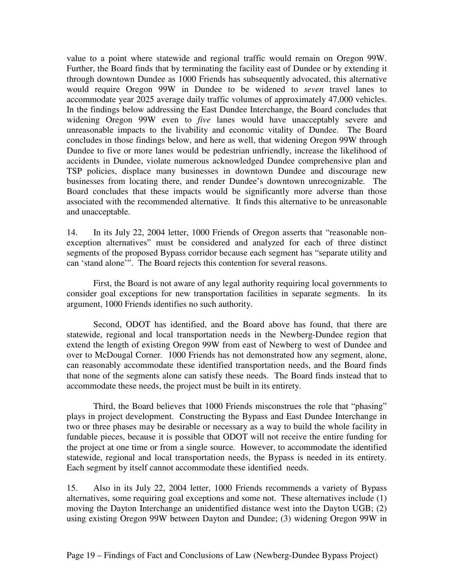value to a point where statewide and regional traffic would remain on Oregon 99W. Further, the Board finds that by terminating the facility east of Dundee or by extending it through downtown Dundee as 1000 Friends has subsequently advocated, this alternative would require Oregon 99W in Dundee to be widened to *seven* travel lanes to accommodate year 2025 average daily traffic volumes of approximately 47,000 vehicles. In the findings below addressing the East Dundee Interchange, the Board concludes that widening Oregon 99W even to *five* lanes would have unacceptably severe and unreasonable impacts to the livability and economic vitality of Dundee. The Board concludes in those findings below, and here as well, that widening Oregon 99W through Dundee to five or more lanes would be pedestrian unfriendly, increase the likelihood of accidents in Dundee, violate numerous acknowledged Dundee comprehensive plan and TSP policies, displace many businesses in downtown Dundee and discourage new businesses from locating there, and render Dundee's downtown unrecognizable. The Board concludes that these impacts would be significantly more adverse than those associated with the recommended alternative. It finds this alternative to be unreasonable and unacceptable.

14. In its July 22, 2004 letter, 1000 Friends of Oregon asserts that "reasonable nonexception alternatives" must be considered and analyzed for each of three distinct segments of the proposed Bypass corridor because each segment has "separate utility and can 'stand alone'". The Board rejects this contention for several reasons.

First, the Board is not aware of any legal authority requiring local governments to consider goal exceptions for new transportation facilities in separate segments. In its argument, 1000 Friends identifies no such authority.

Second, ODOT has identified, and the Board above has found, that there are statewide, regional and local transportation needs in the Newberg-Dundee region that extend the length of existing Oregon 99W from east of Newberg to west of Dundee and over to McDougal Corner. 1000 Friends has not demonstrated how any segment, alone, can reasonably accommodate these identified transportation needs, and the Board finds that none of the segments alone can satisfy these needs. The Board finds instead that to accommodate these needs, the project must be built in its entirety.

Third, the Board believes that 1000 Friends misconstrues the role that "phasing" plays in project development. Constructing the Bypass and East Dundee Interchange in two or three phases may be desirable or necessary as a way to build the whole facility in fundable pieces, because it is possible that ODOT will not receive the entire funding for the project at one time or from a single source. However, to accommodate the identified statewide, regional and local transportation needs, the Bypass is needed in its entirety. Each segment by itself cannot accommodate these identified needs.

15. Also in its July 22, 2004 letter, 1000 Friends recommends a variety of Bypass alternatives, some requiring goal exceptions and some not. These alternatives include (1) moving the Dayton Interchange an unidentified distance west into the Dayton UGB; (2) using existing Oregon 99W between Dayton and Dundee; (3) widening Oregon 99W in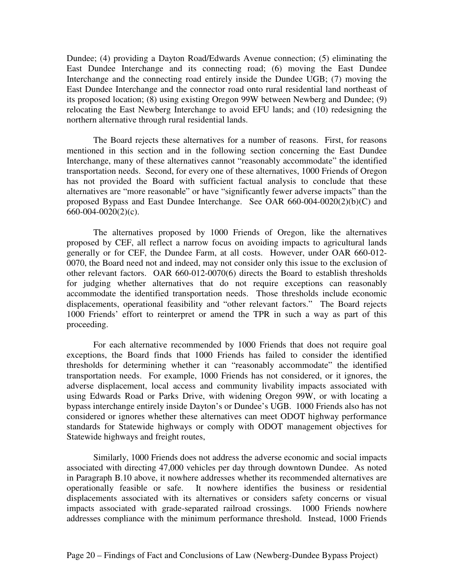Dundee; (4) providing a Dayton Road/Edwards Avenue connection; (5) eliminating the East Dundee Interchange and its connecting road; (6) moving the East Dundee Interchange and the connecting road entirely inside the Dundee UGB; (7) moving the East Dundee Interchange and the connector road onto rural residential land northeast of its proposed location; (8) using existing Oregon 99W between Newberg and Dundee; (9) relocating the East Newberg Interchange to avoid EFU lands; and (10) redesigning the northern alternative through rural residential lands.

The Board rejects these alternatives for a number of reasons. First, for reasons mentioned in this section and in the following section concerning the East Dundee Interchange, many of these alternatives cannot "reasonably accommodate" the identified transportation needs. Second, for every one of these alternatives, 1000 Friends of Oregon has not provided the Board with sufficient factual analysis to conclude that these alternatives are "more reasonable" or have "significantly fewer adverse impacts" than the proposed Bypass and East Dundee Interchange. See OAR 660-004-0020(2)(b)(C) and 660-004-0020(2)(c).

The alternatives proposed by 1000 Friends of Oregon, like the alternatives proposed by CEF, all reflect a narrow focus on avoiding impacts to agricultural lands generally or for CEF, the Dundee Farm, at all costs. However, under OAR 660-012- 0070, the Board need not and indeed, may not consider only this issue to the exclusion of other relevant factors. OAR 660-012-0070(6) directs the Board to establish thresholds for judging whether alternatives that do not require exceptions can reasonably accommodate the identified transportation needs. Those thresholds include economic displacements, operational feasibility and "other relevant factors." The Board rejects 1000 Friends' effort to reinterpret or amend the TPR in such a way as part of this proceeding.

For each alternative recommended by 1000 Friends that does not require goal exceptions, the Board finds that 1000 Friends has failed to consider the identified thresholds for determining whether it can "reasonably accommodate" the identified transportation needs. For example, 1000 Friends has not considered, or it ignores, the adverse displacement, local access and community livability impacts associated with using Edwards Road or Parks Drive, with widening Oregon 99W, or with locating a bypass interchange entirely inside Dayton's or Dundee's UGB. 1000 Friends also has not considered or ignores whether these alternatives can meet ODOT highway performance standards for Statewide highways or comply with ODOT management objectives for Statewide highways and freight routes,

Similarly, 1000 Friends does not address the adverse economic and social impacts associated with directing 47,000 vehicles per day through downtown Dundee. As noted in Paragraph B.10 above, it nowhere addresses whether its recommended alternatives are operationally feasible or safe. It nowhere identifies the business or residential displacements associated with its alternatives or considers safety concerns or visual impacts associated with grade-separated railroad crossings. 1000 Friends nowhere addresses compliance with the minimum performance threshold. Instead, 1000 Friends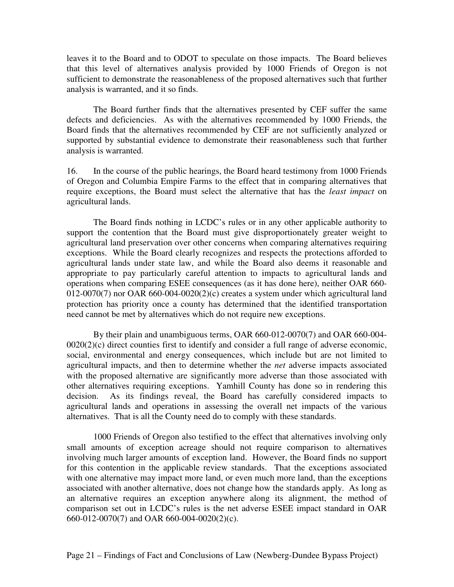leaves it to the Board and to ODOT to speculate on those impacts. The Board believes that this level of alternatives analysis provided by 1000 Friends of Oregon is not sufficient to demonstrate the reasonableness of the proposed alternatives such that further analysis is warranted, and it so finds.

The Board further finds that the alternatives presented by CEF suffer the same defects and deficiencies. As with the alternatives recommended by 1000 Friends, the Board finds that the alternatives recommended by CEF are not sufficiently analyzed or supported by substantial evidence to demonstrate their reasonableness such that further analysis is warranted.

16. In the course of the public hearings, the Board heard testimony from 1000 Friends of Oregon and Columbia Empire Farms to the effect that in comparing alternatives that require exceptions, the Board must select the alternative that has the *least impact* on agricultural lands.

The Board finds nothing in LCDC's rules or in any other applicable authority to support the contention that the Board must give disproportionately greater weight to agricultural land preservation over other concerns when comparing alternatives requiring exceptions. While the Board clearly recognizes and respects the protections afforded to agricultural lands under state law, and while the Board also deems it reasonable and appropriate to pay particularly careful attention to impacts to agricultural lands and operations when comparing ESEE consequences (as it has done here), neither OAR 660- 012-0070(7) nor OAR 660-004-0020(2)(c) creates a system under which agricultural land protection has priority once a county has determined that the identified transportation need cannot be met by alternatives which do not require new exceptions.

By their plain and unambiguous terms, OAR 660-012-0070(7) and OAR 660-004-  $0020(2)(c)$  direct counties first to identify and consider a full range of adverse economic, social, environmental and energy consequences, which include but are not limited to agricultural impacts, and then to determine whether the *net* adverse impacts associated with the proposed alternative are significantly more adverse than those associated with other alternatives requiring exceptions. Yamhill County has done so in rendering this decision. As its findings reveal, the Board has carefully considered impacts to agricultural lands and operations in assessing the overall net impacts of the various alternatives. That is all the County need do to comply with these standards.

1000 Friends of Oregon also testified to the effect that alternatives involving only small amounts of exception acreage should not require comparison to alternatives involving much larger amounts of exception land. However, the Board finds no support for this contention in the applicable review standards. That the exceptions associated with one alternative may impact more land, or even much more land, than the exceptions associated with another alternative, does not change how the standards apply. As long as an alternative requires an exception anywhere along its alignment, the method of comparison set out in LCDC's rules is the net adverse ESEE impact standard in OAR 660-012-0070(7) and OAR 660-004-0020(2)(c).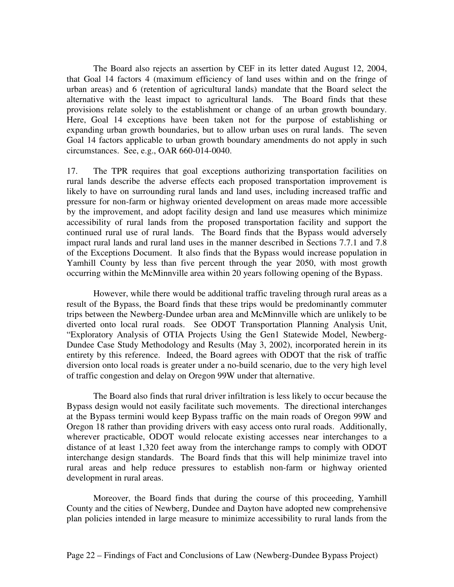The Board also rejects an assertion by CEF in its letter dated August 12, 2004, that Goal 14 factors 4 (maximum efficiency of land uses within and on the fringe of urban areas) and 6 (retention of agricultural lands) mandate that the Board select the alternative with the least impact to agricultural lands. The Board finds that these provisions relate solely to the establishment or change of an urban growth boundary. Here, Goal 14 exceptions have been taken not for the purpose of establishing or expanding urban growth boundaries, but to allow urban uses on rural lands. The seven Goal 14 factors applicable to urban growth boundary amendments do not apply in such circumstances. See, e.g., OAR 660-014-0040.

17. The TPR requires that goal exceptions authorizing transportation facilities on rural lands describe the adverse effects each proposed transportation improvement is likely to have on surrounding rural lands and land uses, including increased traffic and pressure for non-farm or highway oriented development on areas made more accessible by the improvement, and adopt facility design and land use measures which minimize accessibility of rural lands from the proposed transportation facility and support the continued rural use of rural lands. The Board finds that the Bypass would adversely impact rural lands and rural land uses in the manner described in Sections 7.7.1 and 7.8 of the Exceptions Document. It also finds that the Bypass would increase population in Yamhill County by less than five percent through the year 2050, with most growth occurring within the McMinnville area within 20 years following opening of the Bypass.

However, while there would be additional traffic traveling through rural areas as a result of the Bypass, the Board finds that these trips would be predominantly commuter trips between the Newberg-Dundee urban area and McMinnville which are unlikely to be diverted onto local rural roads. See ODOT Transportation Planning Analysis Unit, "Exploratory Analysis of OTIA Projects Using the Gen1 Statewide Model, Newberg-Dundee Case Study Methodology and Results (May 3, 2002), incorporated herein in its entirety by this reference. Indeed, the Board agrees with ODOT that the risk of traffic diversion onto local roads is greater under a no-build scenario, due to the very high level of traffic congestion and delay on Oregon 99W under that alternative.

The Board also finds that rural driver infiltration is less likely to occur because the Bypass design would not easily facilitate such movements. The directional interchanges at the Bypass termini would keep Bypass traffic on the main roads of Oregon 99W and Oregon 18 rather than providing drivers with easy access onto rural roads. Additionally, wherever practicable, ODOT would relocate existing accesses near interchanges to a distance of at least 1,320 feet away from the interchange ramps to comply with ODOT interchange design standards. The Board finds that this will help minimize travel into rural areas and help reduce pressures to establish non-farm or highway oriented development in rural areas.

Moreover, the Board finds that during the course of this proceeding, Yamhill County and the cities of Newberg, Dundee and Dayton have adopted new comprehensive plan policies intended in large measure to minimize accessibility to rural lands from the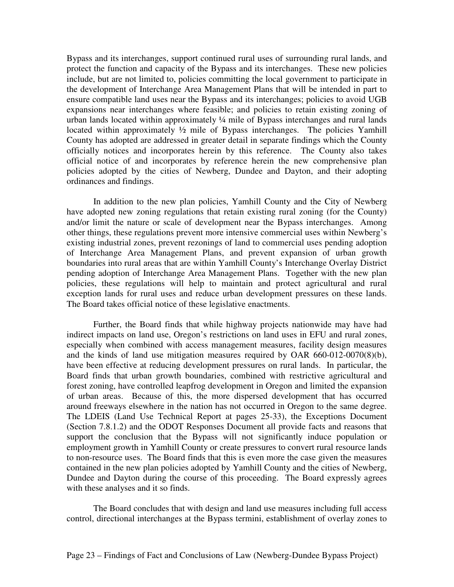Bypass and its interchanges, support continued rural uses of surrounding rural lands, and protect the function and capacity of the Bypass and its interchanges. These new policies include, but are not limited to, policies committing the local government to participate in the development of Interchange Area Management Plans that will be intended in part to ensure compatible land uses near the Bypass and its interchanges; policies to avoid UGB expansions near interchanges where feasible; and policies to retain existing zoning of urban lands located within approximately ¼ mile of Bypass interchanges and rural lands located within approximately  $\frac{1}{2}$  mile of Bypass interchanges. The policies Yamhill County has adopted are addressed in greater detail in separate findings which the County officially notices and incorporates herein by this reference. The County also takes official notice of and incorporates by reference herein the new comprehensive plan policies adopted by the cities of Newberg, Dundee and Dayton, and their adopting ordinances and findings.

In addition to the new plan policies, Yamhill County and the City of Newberg have adopted new zoning regulations that retain existing rural zoning (for the County) and/or limit the nature or scale of development near the Bypass interchanges. Among other things, these regulations prevent more intensive commercial uses within Newberg's existing industrial zones, prevent rezonings of land to commercial uses pending adoption of Interchange Area Management Plans, and prevent expansion of urban growth boundaries into rural areas that are within Yamhill County's Interchange Overlay District pending adoption of Interchange Area Management Plans. Together with the new plan policies, these regulations will help to maintain and protect agricultural and rural exception lands for rural uses and reduce urban development pressures on these lands. The Board takes official notice of these legislative enactments.

Further, the Board finds that while highway projects nationwide may have had indirect impacts on land use, Oregon's restrictions on land uses in EFU and rural zones, especially when combined with access management measures, facility design measures and the kinds of land use mitigation measures required by OAR 660-012-0070(8)(b), have been effective at reducing development pressures on rural lands. In particular, the Board finds that urban growth boundaries, combined with restrictive agricultural and forest zoning, have controlled leapfrog development in Oregon and limited the expansion of urban areas. Because of this, the more dispersed development that has occurred around freeways elsewhere in the nation has not occurred in Oregon to the same degree. The LDEIS (Land Use Technical Report at pages 25-33), the Exceptions Document (Section 7.8.1.2) and the ODOT Responses Document all provide facts and reasons that support the conclusion that the Bypass will not significantly induce population or employment growth in Yamhill County or create pressures to convert rural resource lands to non-resource uses. The Board finds that this is even more the case given the measures contained in the new plan policies adopted by Yamhill County and the cities of Newberg, Dundee and Dayton during the course of this proceeding. The Board expressly agrees with these analyses and it so finds.

The Board concludes that with design and land use measures including full access control, directional interchanges at the Bypass termini, establishment of overlay zones to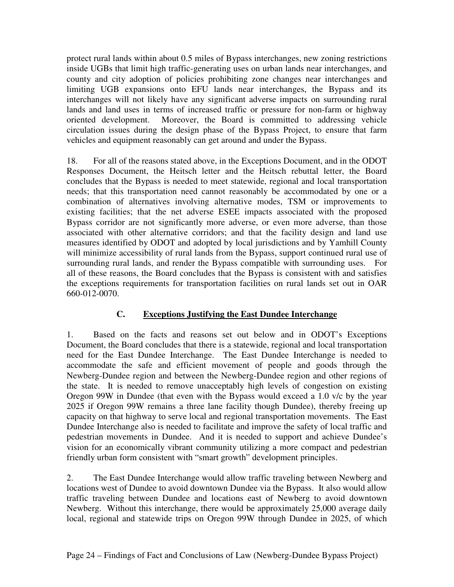protect rural lands within about 0.5 miles of Bypass interchanges, new zoning restrictions inside UGBs that limit high traffic-generating uses on urban lands near interchanges, and county and city adoption of policies prohibiting zone changes near interchanges and limiting UGB expansions onto EFU lands near interchanges, the Bypass and its interchanges will not likely have any significant adverse impacts on surrounding rural lands and land uses in terms of increased traffic or pressure for non-farm or highway oriented development. Moreover, the Board is committed to addressing vehicle circulation issues during the design phase of the Bypass Project, to ensure that farm vehicles and equipment reasonably can get around and under the Bypass.

18. For all of the reasons stated above, in the Exceptions Document, and in the ODOT Responses Document, the Heitsch letter and the Heitsch rebuttal letter, the Board concludes that the Bypass is needed to meet statewide, regional and local transportation needs; that this transportation need cannot reasonably be accommodated by one or a combination of alternatives involving alternative modes, TSM or improvements to existing facilities; that the net adverse ESEE impacts associated with the proposed Bypass corridor are not significantly more adverse, or even more adverse, than those associated with other alternative corridors; and that the facility design and land use measures identified by ODOT and adopted by local jurisdictions and by Yamhill County will minimize accessibility of rural lands from the Bypass, support continued rural use of surrounding rural lands, and render the Bypass compatible with surrounding uses. For all of these reasons, the Board concludes that the Bypass is consistent with and satisfies the exceptions requirements for transportation facilities on rural lands set out in OAR 660-012-0070.

# **C. Exceptions Justifying the East Dundee Interchange**

1. Based on the facts and reasons set out below and in ODOT's Exceptions Document, the Board concludes that there is a statewide, regional and local transportation need for the East Dundee Interchange. The East Dundee Interchange is needed to accommodate the safe and efficient movement of people and goods through the Newberg-Dundee region and between the Newberg-Dundee region and other regions of the state. It is needed to remove unacceptably high levels of congestion on existing Oregon 99W in Dundee (that even with the Bypass would exceed a 1.0 v/c by the year 2025 if Oregon 99W remains a three lane facility though Dundee), thereby freeing up capacity on that highway to serve local and regional transportation movements. The East Dundee Interchange also is needed to facilitate and improve the safety of local traffic and pedestrian movements in Dundee. And it is needed to support and achieve Dundee's vision for an economically vibrant community utilizing a more compact and pedestrian friendly urban form consistent with "smart growth" development principles.

2. The East Dundee Interchange would allow traffic traveling between Newberg and locations west of Dundee to avoid downtown Dundee via the Bypass. It also would allow traffic traveling between Dundee and locations east of Newberg to avoid downtown Newberg. Without this interchange, there would be approximately 25,000 average daily local, regional and statewide trips on Oregon 99W through Dundee in 2025, of which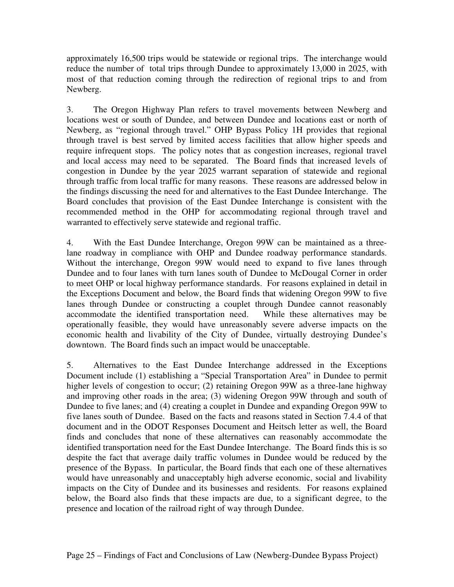approximately 16,500 trips would be statewide or regional trips. The interchange would reduce the number of total trips through Dundee to approximately 13,000 in 2025, with most of that reduction coming through the redirection of regional trips to and from Newberg.

3. The Oregon Highway Plan refers to travel movements between Newberg and locations west or south of Dundee, and between Dundee and locations east or north of Newberg, as "regional through travel." OHP Bypass Policy 1H provides that regional through travel is best served by limited access facilities that allow higher speeds and require infrequent stops. The policy notes that as congestion increases, regional travel and local access may need to be separated. The Board finds that increased levels of congestion in Dundee by the year 2025 warrant separation of statewide and regional through traffic from local traffic for many reasons. These reasons are addressed below in the findings discussing the need for and alternatives to the East Dundee Interchange. The Board concludes that provision of the East Dundee Interchange is consistent with the recommended method in the OHP for accommodating regional through travel and warranted to effectively serve statewide and regional traffic.

4. With the East Dundee Interchange, Oregon 99W can be maintained as a threelane roadway in compliance with OHP and Dundee roadway performance standards. Without the interchange, Oregon 99W would need to expand to five lanes through Dundee and to four lanes with turn lanes south of Dundee to McDougal Corner in order to meet OHP or local highway performance standards. For reasons explained in detail in the Exceptions Document and below, the Board finds that widening Oregon 99W to five lanes through Dundee or constructing a couplet through Dundee cannot reasonably accommodate the identified transportation need. While these alternatives may be operationally feasible, they would have unreasonably severe adverse impacts on the economic health and livability of the City of Dundee, virtually destroying Dundee's downtown. The Board finds such an impact would be unacceptable.

5. Alternatives to the East Dundee Interchange addressed in the Exceptions Document include (1) establishing a "Special Transportation Area" in Dundee to permit higher levels of congestion to occur; (2) retaining Oregon 99W as a three-lane highway and improving other roads in the area; (3) widening Oregon 99W through and south of Dundee to five lanes; and (4) creating a couplet in Dundee and expanding Oregon 99W to five lanes south of Dundee. Based on the facts and reasons stated in Section 7.4.4 of that document and in the ODOT Responses Document and Heitsch letter as well, the Board finds and concludes that none of these alternatives can reasonably accommodate the identified transportation need for the East Dundee Interchange. The Board finds this is so despite the fact that average daily traffic volumes in Dundee would be reduced by the presence of the Bypass. In particular, the Board finds that each one of these alternatives would have unreasonably and unacceptably high adverse economic, social and livability impacts on the City of Dundee and its businesses and residents. For reasons explained below, the Board also finds that these impacts are due, to a significant degree, to the presence and location of the railroad right of way through Dundee.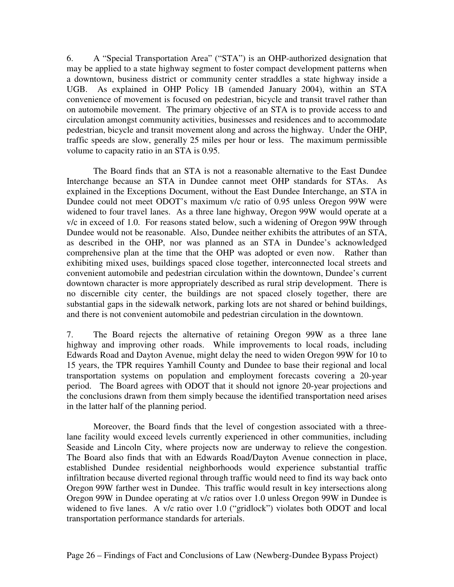6. A "Special Transportation Area" ("STA") is an OHP-authorized designation that may be applied to a state highway segment to foster compact development patterns when a downtown, business district or community center straddles a state highway inside a UGB. As explained in OHP Policy 1B (amended January 2004), within an STA convenience of movement is focused on pedestrian, bicycle and transit travel rather than on automobile movement. The primary objective of an STA is to provide access to and circulation amongst community activities, businesses and residences and to accommodate pedestrian, bicycle and transit movement along and across the highway. Under the OHP, traffic speeds are slow, generally 25 miles per hour or less. The maximum permissible volume to capacity ratio in an STA is 0.95.

The Board finds that an STA is not a reasonable alternative to the East Dundee Interchange because an STA in Dundee cannot meet OHP standards for STAs. As explained in the Exceptions Document, without the East Dundee Interchange, an STA in Dundee could not meet ODOT's maximum v/c ratio of 0.95 unless Oregon 99W were widened to four travel lanes. As a three lane highway, Oregon 99W would operate at a v/c in exceed of 1.0. For reasons stated below, such a widening of Oregon 99W through Dundee would not be reasonable. Also, Dundee neither exhibits the attributes of an STA, as described in the OHP, nor was planned as an STA in Dundee's acknowledged comprehensive plan at the time that the OHP was adopted or even now. Rather than exhibiting mixed uses, buildings spaced close together, interconnected local streets and convenient automobile and pedestrian circulation within the downtown, Dundee's current downtown character is more appropriately described as rural strip development. There is no discernible city center, the buildings are not spaced closely together, there are substantial gaps in the sidewalk network, parking lots are not shared or behind buildings, and there is not convenient automobile and pedestrian circulation in the downtown.

7. The Board rejects the alternative of retaining Oregon 99W as a three lane highway and improving other roads. While improvements to local roads, including Edwards Road and Dayton Avenue, might delay the need to widen Oregon 99W for 10 to 15 years, the TPR requires Yamhill County and Dundee to base their regional and local transportation systems on population and employment forecasts covering a 20-year period. The Board agrees with ODOT that it should not ignore 20-year projections and the conclusions drawn from them simply because the identified transportation need arises in the latter half of the planning period.

Moreover, the Board finds that the level of congestion associated with a threelane facility would exceed levels currently experienced in other communities, including Seaside and Lincoln City, where projects now are underway to relieve the congestion. The Board also finds that with an Edwards Road/Dayton Avenue connection in place, established Dundee residential neighborhoods would experience substantial traffic infiltration because diverted regional through traffic would need to find its way back onto Oregon 99W farther west in Dundee. This traffic would result in key intersections along Oregon 99W in Dundee operating at v/c ratios over 1.0 unless Oregon 99W in Dundee is widened to five lanes. A v/c ratio over 1.0 ("gridlock") violates both ODOT and local transportation performance standards for arterials.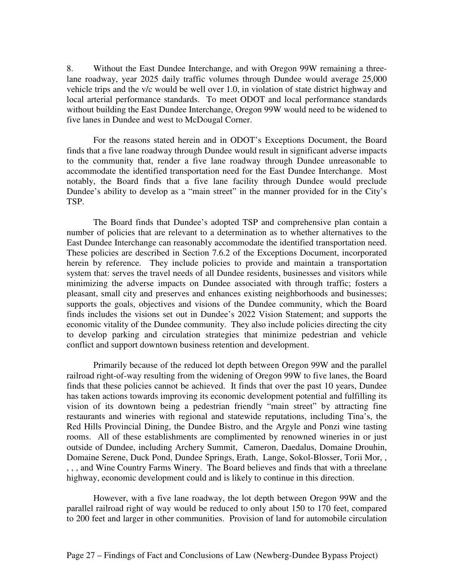8. Without the East Dundee Interchange, and with Oregon 99W remaining a threelane roadway, year 2025 daily traffic volumes through Dundee would average 25,000 vehicle trips and the v/c would be well over 1.0, in violation of state district highway and local arterial performance standards. To meet ODOT and local performance standards without building the East Dundee Interchange, Oregon 99W would need to be widened to five lanes in Dundee and west to McDougal Corner.

For the reasons stated herein and in ODOT's Exceptions Document, the Board finds that a five lane roadway through Dundee would result in significant adverse impacts to the community that, render a five lane roadway through Dundee unreasonable to accommodate the identified transportation need for the East Dundee Interchange. Most notably, the Board finds that a five lane facility through Dundee would preclude Dundee's ability to develop as a "main street" in the manner provided for in the City's TSP.

The Board finds that Dundee's adopted TSP and comprehensive plan contain a number of policies that are relevant to a determination as to whether alternatives to the East Dundee Interchange can reasonably accommodate the identified transportation need. These policies are described in Section 7.6.2 of the Exceptions Document, incorporated herein by reference. They include policies to provide and maintain a transportation system that: serves the travel needs of all Dundee residents, businesses and visitors while minimizing the adverse impacts on Dundee associated with through traffic; fosters a pleasant, small city and preserves and enhances existing neighborhoods and businesses; supports the goals, objectives and visions of the Dundee community, which the Board finds includes the visions set out in Dundee's 2022 Vision Statement; and supports the economic vitality of the Dundee community. They also include policies directing the city to develop parking and circulation strategies that minimize pedestrian and vehicle conflict and support downtown business retention and development.

Primarily because of the reduced lot depth between Oregon 99W and the parallel railroad right-of-way resulting from the widening of Oregon 99W to five lanes, the Board finds that these policies cannot be achieved. It finds that over the past 10 years, Dundee has taken actions towards improving its economic development potential and fulfilling its vision of its downtown being a pedestrian friendly "main street" by attracting fine restaurants and wineries with regional and statewide reputations, including Tina's, the Red Hills Provincial Dining, the Dundee Bistro, and the Argyle and Ponzi wine tasting rooms. All of these establishments are complimented by renowned wineries in or just outside of Dundee, including Archery Summit, Cameron, Daedalus, Domaine Drouhin, Domaine Serene, Duck Pond, Dundee Springs, Erath, Lange, Sokol-Blosser, Torii Mor, , , , , and Wine Country Farms Winery. The Board believes and finds that with a threelane highway, economic development could and is likely to continue in this direction.

However, with a five lane roadway, the lot depth between Oregon 99W and the parallel railroad right of way would be reduced to only about 150 to 170 feet, compared to 200 feet and larger in other communities. Provision of land for automobile circulation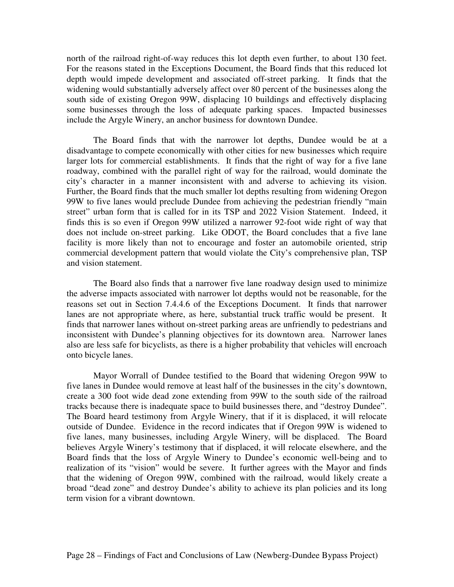north of the railroad right-of-way reduces this lot depth even further, to about 130 feet. For the reasons stated in the Exceptions Document, the Board finds that this reduced lot depth would impede development and associated off-street parking. It finds that the widening would substantially adversely affect over 80 percent of the businesses along the south side of existing Oregon 99W, displacing 10 buildings and effectively displacing some businesses through the loss of adequate parking spaces. Impacted businesses include the Argyle Winery, an anchor business for downtown Dundee.

The Board finds that with the narrower lot depths, Dundee would be at a disadvantage to compete economically with other cities for new businesses which require larger lots for commercial establishments. It finds that the right of way for a five lane roadway, combined with the parallel right of way for the railroad, would dominate the city's character in a manner inconsistent with and adverse to achieving its vision. Further, the Board finds that the much smaller lot depths resulting from widening Oregon 99W to five lanes would preclude Dundee from achieving the pedestrian friendly "main street" urban form that is called for in its TSP and 2022 Vision Statement. Indeed, it finds this is so even if Oregon 99W utilized a narrower 92-foot wide right of way that does not include on-street parking. Like ODOT, the Board concludes that a five lane facility is more likely than not to encourage and foster an automobile oriented, strip commercial development pattern that would violate the City's comprehensive plan, TSP and vision statement.

The Board also finds that a narrower five lane roadway design used to minimize the adverse impacts associated with narrower lot depths would not be reasonable, for the reasons set out in Section 7.4.4.6 of the Exceptions Document. It finds that narrower lanes are not appropriate where, as here, substantial truck traffic would be present. It finds that narrower lanes without on-street parking areas are unfriendly to pedestrians and inconsistent with Dundee's planning objectives for its downtown area. Narrower lanes also are less safe for bicyclists, as there is a higher probability that vehicles will encroach onto bicycle lanes.

Mayor Worrall of Dundee testified to the Board that widening Oregon 99W to five lanes in Dundee would remove at least half of the businesses in the city's downtown, create a 300 foot wide dead zone extending from 99W to the south side of the railroad tracks because there is inadequate space to build businesses there, and "destroy Dundee". The Board heard testimony from Argyle Winery, that if it is displaced, it will relocate outside of Dundee. Evidence in the record indicates that if Oregon 99W is widened to five lanes, many businesses, including Argyle Winery, will be displaced. The Board believes Argyle Winery's testimony that if displaced, it will relocate elsewhere, and the Board finds that the loss of Argyle Winery to Dundee's economic well-being and to realization of its "vision" would be severe. It further agrees with the Mayor and finds that the widening of Oregon 99W, combined with the railroad, would likely create a broad "dead zone" and destroy Dundee's ability to achieve its plan policies and its long term vision for a vibrant downtown.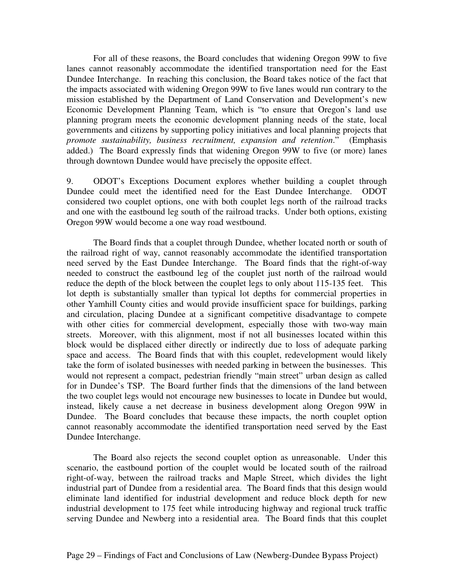For all of these reasons, the Board concludes that widening Oregon 99W to five lanes cannot reasonably accommodate the identified transportation need for the East Dundee Interchange. In reaching this conclusion, the Board takes notice of the fact that the impacts associated with widening Oregon 99W to five lanes would run contrary to the mission established by the Department of Land Conservation and Development's new Economic Development Planning Team, which is "to ensure that Oregon's land use planning program meets the economic development planning needs of the state, local governments and citizens by supporting policy initiatives and local planning projects that *promote sustainability, business recruitment, expansion and retention*." (Emphasis added.) The Board expressly finds that widening Oregon 99W to five (or more) lanes through downtown Dundee would have precisely the opposite effect.

9. ODOT's Exceptions Document explores whether building a couplet through Dundee could meet the identified need for the East Dundee Interchange. ODOT considered two couplet options, one with both couplet legs north of the railroad tracks and one with the eastbound leg south of the railroad tracks. Under both options, existing Oregon 99W would become a one way road westbound.

The Board finds that a couplet through Dundee, whether located north or south of the railroad right of way, cannot reasonably accommodate the identified transportation need served by the East Dundee Interchange. The Board finds that the right-of-way needed to construct the eastbound leg of the couplet just north of the railroad would reduce the depth of the block between the couplet legs to only about 115-135 feet. This lot depth is substantially smaller than typical lot depths for commercial properties in other Yamhill County cities and would provide insufficient space for buildings, parking and circulation, placing Dundee at a significant competitive disadvantage to compete with other cities for commercial development, especially those with two-way main streets. Moreover, with this alignment, most if not all businesses located within this block would be displaced either directly or indirectly due to loss of adequate parking space and access. The Board finds that with this couplet, redevelopment would likely take the form of isolated businesses with needed parking in between the businesses. This would not represent a compact, pedestrian friendly "main street" urban design as called for in Dundee's TSP. The Board further finds that the dimensions of the land between the two couplet legs would not encourage new businesses to locate in Dundee but would, instead, likely cause a net decrease in business development along Oregon 99W in Dundee. The Board concludes that because these impacts, the north couplet option cannot reasonably accommodate the identified transportation need served by the East Dundee Interchange.

The Board also rejects the second couplet option as unreasonable. Under this scenario, the eastbound portion of the couplet would be located south of the railroad right-of-way, between the railroad tracks and Maple Street, which divides the light industrial part of Dundee from a residential area. The Board finds that this design would eliminate land identified for industrial development and reduce block depth for new industrial development to 175 feet while introducing highway and regional truck traffic serving Dundee and Newberg into a residential area. The Board finds that this couplet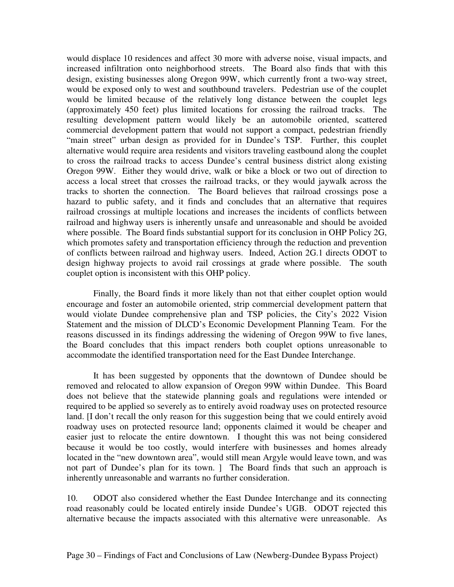would displace 10 residences and affect 30 more with adverse noise, visual impacts, and increased infiltration onto neighborhood streets. The Board also finds that with this design, existing businesses along Oregon 99W, which currently front a two-way street, would be exposed only to west and southbound travelers. Pedestrian use of the couplet would be limited because of the relatively long distance between the couplet legs (approximately 450 feet) plus limited locations for crossing the railroad tracks. The resulting development pattern would likely be an automobile oriented, scattered commercial development pattern that would not support a compact, pedestrian friendly "main street" urban design as provided for in Dundee's TSP. Further, this couplet alternative would require area residents and visitors traveling eastbound along the couplet to cross the railroad tracks to access Dundee's central business district along existing Oregon 99W. Either they would drive, walk or bike a block or two out of direction to access a local street that crosses the railroad tracks, or they would jaywalk across the tracks to shorten the connection. The Board believes that railroad crossings pose a hazard to public safety, and it finds and concludes that an alternative that requires railroad crossings at multiple locations and increases the incidents of conflicts between railroad and highway users is inherently unsafe and unreasonable and should be avoided where possible. The Board finds substantial support for its conclusion in OHP Policy 2G, which promotes safety and transportation efficiency through the reduction and prevention of conflicts between railroad and highway users. Indeed, Action 2G.1 directs ODOT to design highway projects to avoid rail crossings at grade where possible. The south couplet option is inconsistent with this OHP policy.

Finally, the Board finds it more likely than not that either couplet option would encourage and foster an automobile oriented, strip commercial development pattern that would violate Dundee comprehensive plan and TSP policies, the City's 2022 Vision Statement and the mission of DLCD's Economic Development Planning Team. For the reasons discussed in its findings addressing the widening of Oregon 99W to five lanes, the Board concludes that this impact renders both couplet options unreasonable to accommodate the identified transportation need for the East Dundee Interchange.

It has been suggested by opponents that the downtown of Dundee should be removed and relocated to allow expansion of Oregon 99W within Dundee. This Board does not believe that the statewide planning goals and regulations were intended or required to be applied so severely as to entirely avoid roadway uses on protected resource land. [I don't recall the only reason for this suggestion being that we could entirely avoid roadway uses on protected resource land; opponents claimed it would be cheaper and easier just to relocate the entire downtown. I thought this was not being considered because it would be too costly, would interfere with businesses and homes already located in the "new downtown area", would still mean Argyle would leave town, and was not part of Dundee's plan for its town. ] The Board finds that such an approach is inherently unreasonable and warrants no further consideration.

10. ODOT also considered whether the East Dundee Interchange and its connecting road reasonably could be located entirely inside Dundee's UGB. ODOT rejected this alternative because the impacts associated with this alternative were unreasonable. As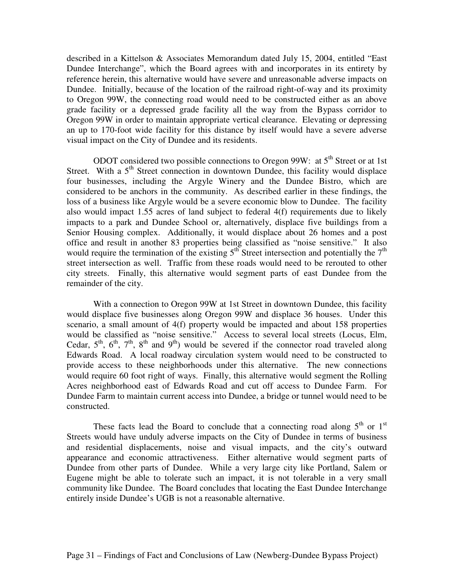described in a Kittelson & Associates Memorandum dated July 15, 2004, entitled "East Dundee Interchange", which the Board agrees with and incorporates in its entirety by reference herein, this alternative would have severe and unreasonable adverse impacts on Dundee. Initially, because of the location of the railroad right-of-way and its proximity to Oregon 99W, the connecting road would need to be constructed either as an above grade facility or a depressed grade facility all the way from the Bypass corridor to Oregon 99W in order to maintain appropriate vertical clearance. Elevating or depressing an up to 170-foot wide facility for this distance by itself would have a severe adverse visual impact on the City of Dundee and its residents.

ODOT considered two possible connections to Oregon 99W: at  $5<sup>th</sup>$  Street or at 1st Street. With a 5<sup>th</sup> Street connection in downtown Dundee, this facility would displace four businesses, including the Argyle Winery and the Dundee Bistro, which are considered to be anchors in the community. As described earlier in these findings, the loss of a business like Argyle would be a severe economic blow to Dundee. The facility also would impact 1.55 acres of land subject to federal 4(f) requirements due to likely impacts to a park and Dundee School or, alternatively, displace five buildings from a Senior Housing complex. Additionally, it would displace about 26 homes and a post office and result in another 83 properties being classified as "noise sensitive." It also would require the termination of the existing  $5<sup>th</sup>$  Street intersection and potentially the  $7<sup>th</sup>$ street intersection as well. Traffic from these roads would need to be rerouted to other city streets. Finally, this alternative would segment parts of east Dundee from the remainder of the city.

With a connection to Oregon 99W at 1st Street in downtown Dundee, this facility would displace five businesses along Oregon 99W and displace 36 houses. Under this scenario, a small amount of 4(f) property would be impacted and about 158 properties would be classified as "noise sensitive." Access to several local streets (Locus, Elm, Cedar,  $5^{\text{th}}$ ,  $6^{\text{th}}$ ,  $7^{\text{th}}$ ,  $8^{\text{th}}$  and  $9^{\text{th}}$ ) would be severed if the connector road traveled along Edwards Road. A local roadway circulation system would need to be constructed to provide access to these neighborhoods under this alternative. The new connections would require 60 foot right of ways. Finally, this alternative would segment the Rolling Acres neighborhood east of Edwards Road and cut off access to Dundee Farm. For Dundee Farm to maintain current access into Dundee, a bridge or tunnel would need to be constructed.

These facts lead the Board to conclude that a connecting road along  $5<sup>th</sup>$  or  $1<sup>st</sup>$ Streets would have unduly adverse impacts on the City of Dundee in terms of business and residential displacements, noise and visual impacts, and the city's outward appearance and economic attractiveness. Either alternative would segment parts of Dundee from other parts of Dundee. While a very large city like Portland, Salem or Eugene might be able to tolerate such an impact, it is not tolerable in a very small community like Dundee. The Board concludes that locating the East Dundee Interchange entirely inside Dundee's UGB is not a reasonable alternative.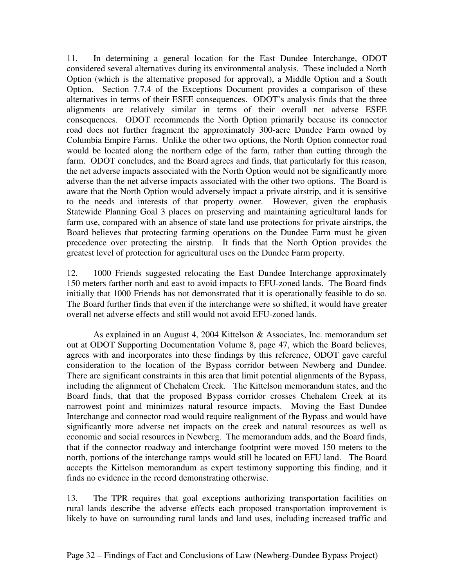11. In determining a general location for the East Dundee Interchange, ODOT considered several alternatives during its environmental analysis. These included a North Option (which is the alternative proposed for approval), a Middle Option and a South Option. Section 7.7.4 of the Exceptions Document provides a comparison of these alternatives in terms of their ESEE consequences. ODOT's analysis finds that the three alignments are relatively similar in terms of their overall net adverse ESEE consequences. ODOT recommends the North Option primarily because its connector road does not further fragment the approximately 300-acre Dundee Farm owned by Columbia Empire Farms. Unlike the other two options, the North Option connector road would be located along the northern edge of the farm, rather than cutting through the farm. ODOT concludes, and the Board agrees and finds, that particularly for this reason, the net adverse impacts associated with the North Option would not be significantly more adverse than the net adverse impacts associated with the other two options. The Board is aware that the North Option would adversely impact a private airstrip, and it is sensitive to the needs and interests of that property owner. However, given the emphasis Statewide Planning Goal 3 places on preserving and maintaining agricultural lands for farm use, compared with an absence of state land use protections for private airstrips, the Board believes that protecting farming operations on the Dundee Farm must be given precedence over protecting the airstrip. It finds that the North Option provides the greatest level of protection for agricultural uses on the Dundee Farm property.

12. 1000 Friends suggested relocating the East Dundee Interchange approximately 150 meters farther north and east to avoid impacts to EFU-zoned lands. The Board finds initially that 1000 Friends has not demonstrated that it is operationally feasible to do so. The Board further finds that even if the interchange were so shifted, it would have greater overall net adverse effects and still would not avoid EFU-zoned lands.

As explained in an August 4, 2004 Kittelson & Associates, Inc. memorandum set out at ODOT Supporting Documentation Volume 8, page 47, which the Board believes, agrees with and incorporates into these findings by this reference, ODOT gave careful consideration to the location of the Bypass corridor between Newberg and Dundee. There are significant constraints in this area that limit potential alignments of the Bypass, including the alignment of Chehalem Creek. The Kittelson memorandum states, and the Board finds, that that the proposed Bypass corridor crosses Chehalem Creek at its narrowest point and minimizes natural resource impacts. Moving the East Dundee Interchange and connector road would require realignment of the Bypass and would have significantly more adverse net impacts on the creek and natural resources as well as economic and social resources in Newberg. The memorandum adds, and the Board finds, that if the connector roadway and interchange footprint were moved 150 meters to the north, portions of the interchange ramps would still be located on EFU land. The Board accepts the Kittelson memorandum as expert testimony supporting this finding, and it finds no evidence in the record demonstrating otherwise.

13. The TPR requires that goal exceptions authorizing transportation facilities on rural lands describe the adverse effects each proposed transportation improvement is likely to have on surrounding rural lands and land uses, including increased traffic and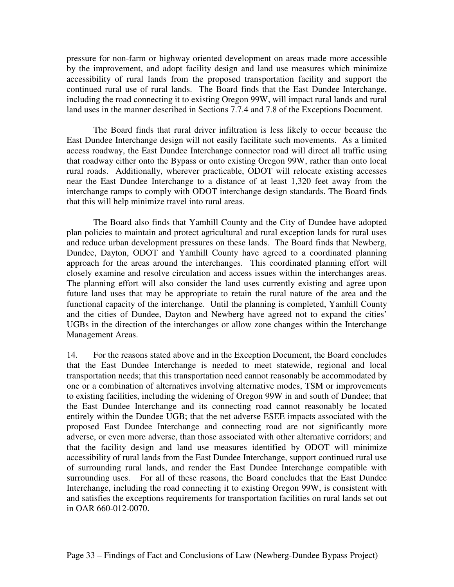pressure for non-farm or highway oriented development on areas made more accessible by the improvement, and adopt facility design and land use measures which minimize accessibility of rural lands from the proposed transportation facility and support the continued rural use of rural lands. The Board finds that the East Dundee Interchange, including the road connecting it to existing Oregon 99W, will impact rural lands and rural land uses in the manner described in Sections 7.7.4 and 7.8 of the Exceptions Document.

The Board finds that rural driver infiltration is less likely to occur because the East Dundee Interchange design will not easily facilitate such movements. As a limited access roadway, the East Dundee Interchange connector road will direct all traffic using that roadway either onto the Bypass or onto existing Oregon 99W, rather than onto local rural roads. Additionally, wherever practicable, ODOT will relocate existing accesses near the East Dundee Interchange to a distance of at least 1,320 feet away from the interchange ramps to comply with ODOT interchange design standards. The Board finds that this will help minimize travel into rural areas.

The Board also finds that Yamhill County and the City of Dundee have adopted plan policies to maintain and protect agricultural and rural exception lands for rural uses and reduce urban development pressures on these lands. The Board finds that Newberg, Dundee, Dayton, ODOT and Yamhill County have agreed to a coordinated planning approach for the areas around the interchanges. This coordinated planning effort will closely examine and resolve circulation and access issues within the interchanges areas. The planning effort will also consider the land uses currently existing and agree upon future land uses that may be appropriate to retain the rural nature of the area and the functional capacity of the interchange. Until the planning is completed, Yamhill County and the cities of Dundee, Dayton and Newberg have agreed not to expand the cities' UGBs in the direction of the interchanges or allow zone changes within the Interchange Management Areas.

14. For the reasons stated above and in the Exception Document, the Board concludes that the East Dundee Interchange is needed to meet statewide, regional and local transportation needs; that this transportation need cannot reasonably be accommodated by one or a combination of alternatives involving alternative modes, TSM or improvements to existing facilities, including the widening of Oregon 99W in and south of Dundee; that the East Dundee Interchange and its connecting road cannot reasonably be located entirely within the Dundee UGB; that the net adverse ESEE impacts associated with the proposed East Dundee Interchange and connecting road are not significantly more adverse, or even more adverse, than those associated with other alternative corridors; and that the facility design and land use measures identified by ODOT will minimize accessibility of rural lands from the East Dundee Interchange, support continued rural use of surrounding rural lands, and render the East Dundee Interchange compatible with surrounding uses. For all of these reasons, the Board concludes that the East Dundee Interchange, including the road connecting it to existing Oregon 99W, is consistent with and satisfies the exceptions requirements for transportation facilities on rural lands set out in OAR 660-012-0070.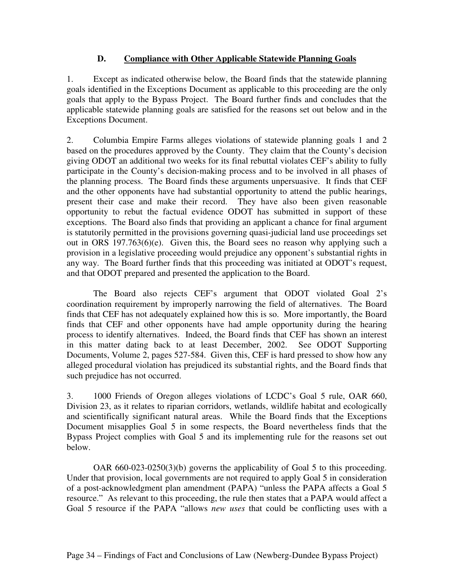## **D. Compliance with Other Applicable Statewide Planning Goals**

1. Except as indicated otherwise below, the Board finds that the statewide planning goals identified in the Exceptions Document as applicable to this proceeding are the only goals that apply to the Bypass Project. The Board further finds and concludes that the applicable statewide planning goals are satisfied for the reasons set out below and in the Exceptions Document.

2. Columbia Empire Farms alleges violations of statewide planning goals 1 and 2 based on the procedures approved by the County. They claim that the County's decision giving ODOT an additional two weeks for its final rebuttal violates CEF's ability to fully participate in the County's decision-making process and to be involved in all phases of the planning process. The Board finds these arguments unpersuasive. It finds that CEF and the other opponents have had substantial opportunity to attend the public hearings, present their case and make their record. They have also been given reasonable opportunity to rebut the factual evidence ODOT has submitted in support of these exceptions. The Board also finds that providing an applicant a chance for final argument is statutorily permitted in the provisions governing quasi-judicial land use proceedings set out in ORS 197.763(6)(e). Given this, the Board sees no reason why applying such a provision in a legislative proceeding would prejudice any opponent's substantial rights in any way. The Board further finds that this proceeding was initiated at ODOT's request, and that ODOT prepared and presented the application to the Board.

The Board also rejects CEF's argument that ODOT violated Goal 2's coordination requirement by improperly narrowing the field of alternatives. The Board finds that CEF has not adequately explained how this is so. More importantly, the Board finds that CEF and other opponents have had ample opportunity during the hearing process to identify alternatives. Indeed, the Board finds that CEF has shown an interest in this matter dating back to at least December, 2002. See ODOT Supporting Documents, Volume 2, pages 527-584. Given this, CEF is hard pressed to show how any alleged procedural violation has prejudiced its substantial rights, and the Board finds that such prejudice has not occurred.

3. 1000 Friends of Oregon alleges violations of LCDC's Goal 5 rule, OAR 660, Division 23, as it relates to riparian corridors, wetlands, wildlife habitat and ecologically and scientifically significant natural areas. While the Board finds that the Exceptions Document misapplies Goal 5 in some respects, the Board nevertheless finds that the Bypass Project complies with Goal 5 and its implementing rule for the reasons set out below.

OAR 660-023-0250(3)(b) governs the applicability of Goal 5 to this proceeding. Under that provision, local governments are not required to apply Goal 5 in consideration of a post-acknowledgment plan amendment (PAPA) "unless the PAPA affects a Goal 5 resource." As relevant to this proceeding, the rule then states that a PAPA would affect a Goal 5 resource if the PAPA "allows *new uses* that could be conflicting uses with a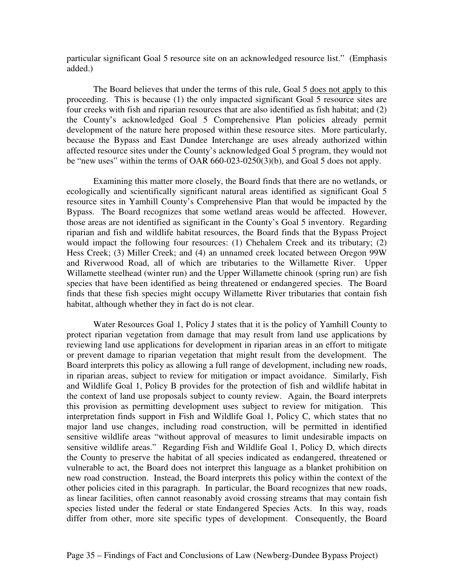particular significant Goal 5 resource site on an acknowledged resource list." (Emphasis added.)

The Board believes that under the terms of this rule, Goal 5 does not apply to this proceeding. This is because (1) the only impacted significant Goal 5 resource sites are four creeks with fish and riparian resources that are also identified as fish habitat; and (2) the County's acknowledged Goal 5 Comprehensive Plan policies already permit development of the nature here proposed within these resource sites. More particularly, because the Bypass and East Dundee Interchange are uses already authorized within affected resource sites under the County's acknowledged Goal 5 program, they would not be "new uses" within the terms of OAR 660-023-0250(3)(b), and Goal 5 does not apply.

Examining this matter more closely, the Board finds that there are no wetlands, or ecologically and scientifically significant natural areas identified as significant Goal 5 resource sites in Yamhill County's Comprehensive Plan that would be impacted by the Bypass. The Board recognizes that some wetland areas would be affected. However, those areas are not identified as significant in the County's Goal 5 inventory. Regarding riparian and fish and wildlife habitat resources, the Board finds that the Bypass Project would impact the following four resources: (1) Chehalem Creek and its tributary; (2) Hess Creek; (3) Miller Creek; and (4) an unnamed creek located between Oregon 99W and Riverwood Road, all of which are tributaries to the Willamette River. Upper Willamette steelhead (winter run) and the Upper Willamette chinook (spring run) are fish species that have been identified as being threatened or endangered species. The Board finds that these fish species might occupy Willamette River tributaries that contain fish habitat, although whether they in fact do is not clear.

Water Resources Goal 1, Policy J states that it is the policy of Yamhill County to protect riparian vegetation from damage that may result from land use applications by reviewing land use applications for development in riparian areas in an effort to mitigate or prevent damage to riparian vegetation that might result from the development. The Board interprets this policy as allowing a full range of development, including new roads, in riparian areas, subject to review for mitigation or impact avoidance. Similarly, Fish and Wildlife Goal 1, Policy B provides for the protection of fish and wildlife habitat in the context of land use proposals subject to county review. Again, the Board interprets this provision as permitting development uses subject to review for mitigation. This interpretation finds support in Fish and Wildlife Goal 1, Policy C, which states that no major land use changes, including road construction, will be permitted in identified sensitive wildlife areas "without approval of measures to limit undesirable impacts on sensitive wildlife areas." Regarding Fish and Wildlife Goal 1, Policy D, which directs the County to preserve the habitat of all species indicated as endangered, threatened or vulnerable to act, the Board does not interpret this language as a blanket prohibition on new road construction. Instead, the Board interprets this policy within the context of the other policies cited in this paragraph. In particular, the Board recognizes that new roads, as linear facilities, often cannot reasonably avoid crossing streams that may contain fish species listed under the federal or state Endangered Species Acts. In this way, roads differ from other, more site specific types of development. Consequently, the Board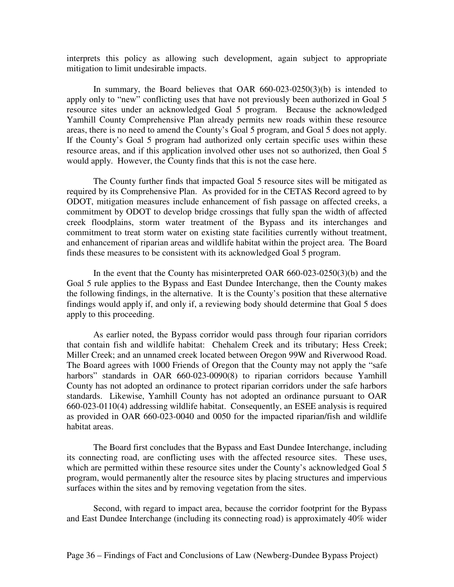interprets this policy as allowing such development, again subject to appropriate mitigation to limit undesirable impacts.

In summary, the Board believes that OAR 660-023-0250(3)(b) is intended to apply only to "new" conflicting uses that have not previously been authorized in Goal 5 resource sites under an acknowledged Goal 5 program. Because the acknowledged Yamhill County Comprehensive Plan already permits new roads within these resource areas, there is no need to amend the County's Goal 5 program, and Goal 5 does not apply. If the County's Goal 5 program had authorized only certain specific uses within these resource areas, and if this application involved other uses not so authorized, then Goal 5 would apply. However, the County finds that this is not the case here.

The County further finds that impacted Goal 5 resource sites will be mitigated as required by its Comprehensive Plan. As provided for in the CETAS Record agreed to by ODOT, mitigation measures include enhancement of fish passage on affected creeks, a commitment by ODOT to develop bridge crossings that fully span the width of affected creek floodplains, storm water treatment of the Bypass and its interchanges and commitment to treat storm water on existing state facilities currently without treatment, and enhancement of riparian areas and wildlife habitat within the project area. The Board finds these measures to be consistent with its acknowledged Goal 5 program.

In the event that the County has misinterpreted OAR 660-023-0250(3)(b) and the Goal 5 rule applies to the Bypass and East Dundee Interchange, then the County makes the following findings, in the alternative. It is the County's position that these alternative findings would apply if, and only if, a reviewing body should determine that Goal 5 does apply to this proceeding.

As earlier noted, the Bypass corridor would pass through four riparian corridors that contain fish and wildlife habitat: Chehalem Creek and its tributary; Hess Creek; Miller Creek; and an unnamed creek located between Oregon 99W and Riverwood Road. The Board agrees with 1000 Friends of Oregon that the County may not apply the "safe harbors" standards in OAR 660-023-0090(8) to riparian corridors because Yamhill County has not adopted an ordinance to protect riparian corridors under the safe harbors standards. Likewise, Yamhill County has not adopted an ordinance pursuant to OAR 660-023-0110(4) addressing wildlife habitat. Consequently, an ESEE analysis is required as provided in OAR 660-023-0040 and 0050 for the impacted riparian/fish and wildlife habitat areas.

The Board first concludes that the Bypass and East Dundee Interchange, including its connecting road, are conflicting uses with the affected resource sites. These uses, which are permitted within these resource sites under the County's acknowledged Goal 5 program, would permanently alter the resource sites by placing structures and impervious surfaces within the sites and by removing vegetation from the sites.

Second, with regard to impact area, because the corridor footprint for the Bypass and East Dundee Interchange (including its connecting road) is approximately 40% wider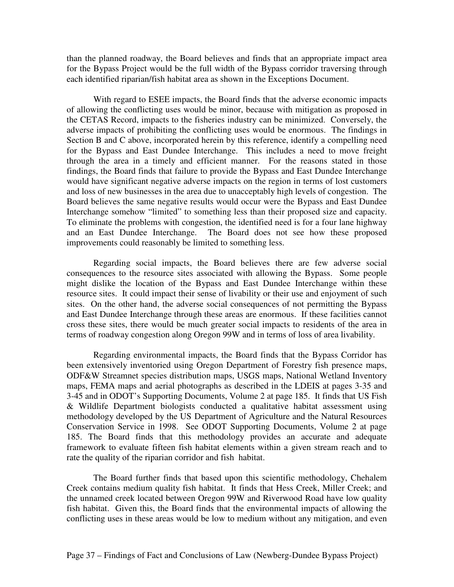than the planned roadway, the Board believes and finds that an appropriate impact area for the Bypass Project would be the full width of the Bypass corridor traversing through each identified riparian/fish habitat area as shown in the Exceptions Document.

With regard to ESEE impacts, the Board finds that the adverse economic impacts of allowing the conflicting uses would be minor, because with mitigation as proposed in the CETAS Record, impacts to the fisheries industry can be minimized. Conversely, the adverse impacts of prohibiting the conflicting uses would be enormous. The findings in Section B and C above, incorporated herein by this reference, identify a compelling need for the Bypass and East Dundee Interchange. This includes a need to move freight through the area in a timely and efficient manner. For the reasons stated in those findings, the Board finds that failure to provide the Bypass and East Dundee Interchange would have significant negative adverse impacts on the region in terms of lost customers and loss of new businesses in the area due to unacceptably high levels of congestion. The Board believes the same negative results would occur were the Bypass and East Dundee Interchange somehow "limited" to something less than their proposed size and capacity. To eliminate the problems with congestion, the identified need is for a four lane highway The Board does not see how these proposed improvements could reasonably be limited to something less.

Regarding social impacts, the Board believes there are few adverse social consequences to the resource sites associated with allowing the Bypass. Some people might dislike the location of the Bypass and East Dundee Interchange within these resource sites. It could impact their sense of livability or their use and enjoyment of such sites. On the other hand, the adverse social consequences of not permitting the Bypass and East Dundee Interchange through these areas are enormous. If these facilities cannot cross these sites, there would be much greater social impacts to residents of the area in terms of roadway congestion along Oregon 99W and in terms of loss of area livability.

Regarding environmental impacts, the Board finds that the Bypass Corridor has been extensively inventoried using Oregon Department of Forestry fish presence maps, ODF&W Streamnet species distribution maps, USGS maps, National Wetland Inventory maps, FEMA maps and aerial photographs as described in the LDEIS at pages 3-35 and 3-45 and in ODOT's Supporting Documents, Volume 2 at page 185. It finds that US Fish & Wildlife Department biologists conducted a qualitative habitat assessment using methodology developed by the US Department of Agriculture and the Natural Resources Conservation Service in 1998. See ODOT Supporting Documents, Volume 2 at page 185. The Board finds that this methodology provides an accurate and adequate framework to evaluate fifteen fish habitat elements within a given stream reach and to rate the quality of the riparian corridor and fish habitat.

The Board further finds that based upon this scientific methodology, Chehalem Creek contains medium quality fish habitat. It finds that Hess Creek, Miller Creek; and the unnamed creek located between Oregon 99W and Riverwood Road have low quality fish habitat. Given this, the Board finds that the environmental impacts of allowing the conflicting uses in these areas would be low to medium without any mitigation, and even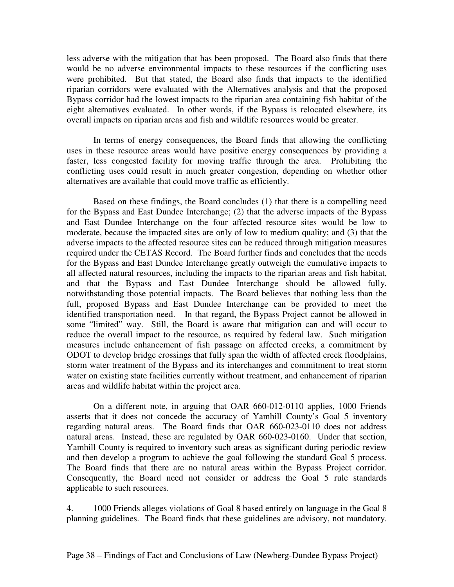less adverse with the mitigation that has been proposed. The Board also finds that there would be no adverse environmental impacts to these resources if the conflicting uses were prohibited. But that stated, the Board also finds that impacts to the identified riparian corridors were evaluated with the Alternatives analysis and that the proposed Bypass corridor had the lowest impacts to the riparian area containing fish habitat of the eight alternatives evaluated. In other words, if the Bypass is relocated elsewhere, its overall impacts on riparian areas and fish and wildlife resources would be greater.

In terms of energy consequences, the Board finds that allowing the conflicting uses in these resource areas would have positive energy consequences by providing a faster, less congested facility for moving traffic through the area. Prohibiting the conflicting uses could result in much greater congestion, depending on whether other alternatives are available that could move traffic as efficiently.

Based on these findings, the Board concludes (1) that there is a compelling need for the Bypass and East Dundee Interchange; (2) that the adverse impacts of the Bypass and East Dundee Interchange on the four affected resource sites would be low to moderate, because the impacted sites are only of low to medium quality; and (3) that the adverse impacts to the affected resource sites can be reduced through mitigation measures required under the CETAS Record. The Board further finds and concludes that the needs for the Bypass and East Dundee Interchange greatly outweigh the cumulative impacts to all affected natural resources, including the impacts to the riparian areas and fish habitat, and that the Bypass and East Dundee Interchange should be allowed fully, notwithstanding those potential impacts. The Board believes that nothing less than the full, proposed Bypass and East Dundee Interchange can be provided to meet the identified transportation need. In that regard, the Bypass Project cannot be allowed in some "limited" way. Still, the Board is aware that mitigation can and will occur to reduce the overall impact to the resource, as required by federal law. Such mitigation measures include enhancement of fish passage on affected creeks, a commitment by ODOT to develop bridge crossings that fully span the width of affected creek floodplains, storm water treatment of the Bypass and its interchanges and commitment to treat storm water on existing state facilities currently without treatment, and enhancement of riparian areas and wildlife habitat within the project area.

On a different note, in arguing that OAR 660-012-0110 applies, 1000 Friends asserts that it does not concede the accuracy of Yamhill County's Goal 5 inventory regarding natural areas. The Board finds that OAR 660-023-0110 does not address natural areas. Instead, these are regulated by OAR 660-023-0160. Under that section, Yamhill County is required to inventory such areas as significant during periodic review and then develop a program to achieve the goal following the standard Goal 5 process. The Board finds that there are no natural areas within the Bypass Project corridor. Consequently, the Board need not consider or address the Goal 5 rule standards applicable to such resources.

4. 1000 Friends alleges violations of Goal 8 based entirely on language in the Goal 8 planning guidelines. The Board finds that these guidelines are advisory, not mandatory.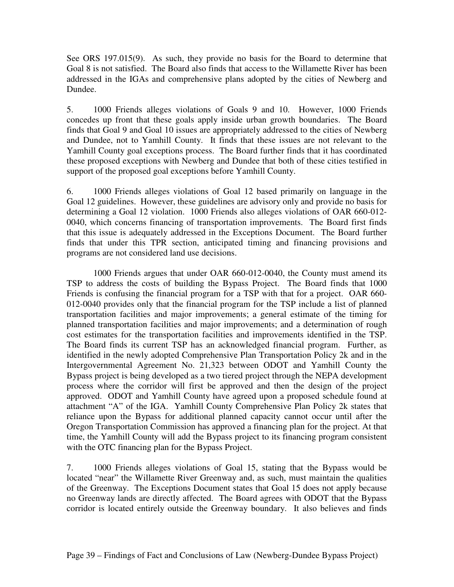See ORS 197.015(9). As such, they provide no basis for the Board to determine that Goal 8 is not satisfied. The Board also finds that access to the Willamette River has been addressed in the IGAs and comprehensive plans adopted by the cities of Newberg and Dundee.

5. 1000 Friends alleges violations of Goals 9 and 10. However, 1000 Friends concedes up front that these goals apply inside urban growth boundaries. The Board finds that Goal 9 and Goal 10 issues are appropriately addressed to the cities of Newberg and Dundee, not to Yamhill County. It finds that these issues are not relevant to the Yamhill County goal exceptions process. The Board further finds that it has coordinated these proposed exceptions with Newberg and Dundee that both of these cities testified in support of the proposed goal exceptions before Yamhill County.

6. 1000 Friends alleges violations of Goal 12 based primarily on language in the Goal 12 guidelines. However, these guidelines are advisory only and provide no basis for determining a Goal 12 violation. 1000 Friends also alleges violations of OAR 660-012- 0040, which concerns financing of transportation improvements. The Board first finds that this issue is adequately addressed in the Exceptions Document. The Board further finds that under this TPR section, anticipated timing and financing provisions and programs are not considered land use decisions.

1000 Friends argues that under OAR 660-012-0040, the County must amend its TSP to address the costs of building the Bypass Project. The Board finds that 1000 Friends is confusing the financial program for a TSP with that for a project. OAR 660- 012-0040 provides only that the financial program for the TSP include a list of planned transportation facilities and major improvements; a general estimate of the timing for planned transportation facilities and major improvements; and a determination of rough cost estimates for the transportation facilities and improvements identified in the TSP. The Board finds its current TSP has an acknowledged financial program. Further, as identified in the newly adopted Comprehensive Plan Transportation Policy 2k and in the Intergovernmental Agreement No. 21,323 between ODOT and Yamhill County the Bypass project is being developed as a two tiered project through the NEPA development process where the corridor will first be approved and then the design of the project approved. ODOT and Yamhill County have agreed upon a proposed schedule found at attachment "A" of the IGA. Yamhill County Comprehensive Plan Policy 2k states that reliance upon the Bypass for additional planned capacity cannot occur until after the Oregon Transportation Commission has approved a financing plan for the project. At that time, the Yamhill County will add the Bypass project to its financing program consistent with the OTC financing plan for the Bypass Project.

7. 1000 Friends alleges violations of Goal 15, stating that the Bypass would be located "near" the Willamette River Greenway and, as such, must maintain the qualities of the Greenway. The Exceptions Document states that Goal 15 does not apply because no Greenway lands are directly affected. The Board agrees with ODOT that the Bypass corridor is located entirely outside the Greenway boundary. It also believes and finds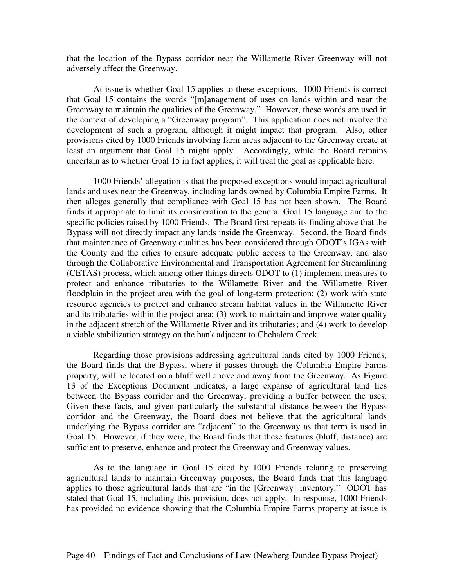that the location of the Bypass corridor near the Willamette River Greenway will not adversely affect the Greenway.

At issue is whether Goal 15 applies to these exceptions. 1000 Friends is correct that Goal 15 contains the words "[m]anagement of uses on lands within and near the Greenway to maintain the qualities of the Greenway." However, these words are used in the context of developing a "Greenway program". This application does not involve the development of such a program, although it might impact that program. Also, other provisions cited by 1000 Friends involving farm areas adjacent to the Greenway create at least an argument that Goal 15 might apply. Accordingly, while the Board remains uncertain as to whether Goal 15 in fact applies, it will treat the goal as applicable here.

1000 Friends' allegation is that the proposed exceptions would impact agricultural lands and uses near the Greenway, including lands owned by Columbia Empire Farms. It then alleges generally that compliance with Goal 15 has not been shown. The Board finds it appropriate to limit its consideration to the general Goal 15 language and to the specific policies raised by 1000 Friends. The Board first repeats its finding above that the Bypass will not directly impact any lands inside the Greenway. Second, the Board finds that maintenance of Greenway qualities has been considered through ODOT's IGAs with the County and the cities to ensure adequate public access to the Greenway, and also through the Collaborative Environmental and Transportation Agreement for Streamlining (CETAS) process, which among other things directs ODOT to (1) implement measures to protect and enhance tributaries to the Willamette River and the Willamette River floodplain in the project area with the goal of long-term protection; (2) work with state resource agencies to protect and enhance stream habitat values in the Willamette River and its tributaries within the project area; (3) work to maintain and improve water quality in the adjacent stretch of the Willamette River and its tributaries; and (4) work to develop a viable stabilization strategy on the bank adjacent to Chehalem Creek.

Regarding those provisions addressing agricultural lands cited by 1000 Friends, the Board finds that the Bypass, where it passes through the Columbia Empire Farms property, will be located on a bluff well above and away from the Greenway. As Figure 13 of the Exceptions Document indicates, a large expanse of agricultural land lies between the Bypass corridor and the Greenway, providing a buffer between the uses. Given these facts, and given particularly the substantial distance between the Bypass corridor and the Greenway, the Board does not believe that the agricultural lands underlying the Bypass corridor are "adjacent" to the Greenway as that term is used in Goal 15. However, if they were, the Board finds that these features (bluff, distance) are sufficient to preserve, enhance and protect the Greenway and Greenway values.

As to the language in Goal 15 cited by 1000 Friends relating to preserving agricultural lands to maintain Greenway purposes, the Board finds that this language applies to those agricultural lands that are "in the [Greenway] inventory." ODOT has stated that Goal 15, including this provision, does not apply. In response, 1000 Friends has provided no evidence showing that the Columbia Empire Farms property at issue is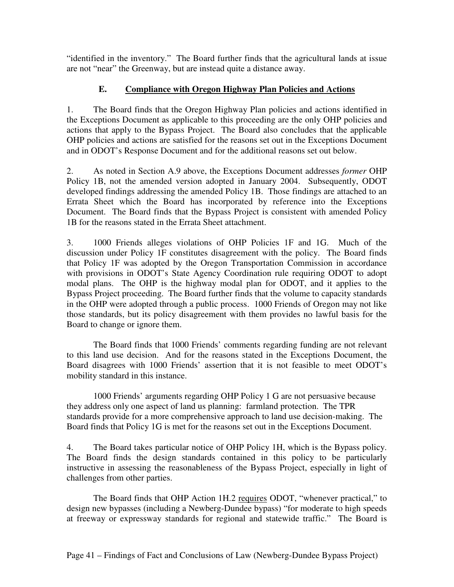"identified in the inventory." The Board further finds that the agricultural lands at issue are not "near" the Greenway, but are instead quite a distance away.

# **E. Compliance with Oregon Highway Plan Policies and Actions**

1. The Board finds that the Oregon Highway Plan policies and actions identified in the Exceptions Document as applicable to this proceeding are the only OHP policies and actions that apply to the Bypass Project. The Board also concludes that the applicable OHP policies and actions are satisfied for the reasons set out in the Exceptions Document and in ODOT's Response Document and for the additional reasons set out below.

2. As noted in Section A.9 above, the Exceptions Document addresses *former* OHP Policy 1B, not the amended version adopted in January 2004. Subsequently, ODOT developed findings addressing the amended Policy 1B. Those findings are attached to an Errata Sheet which the Board has incorporated by reference into the Exceptions Document. The Board finds that the Bypass Project is consistent with amended Policy 1B for the reasons stated in the Errata Sheet attachment.

3. 1000 Friends alleges violations of OHP Policies 1F and 1G. Much of the discussion under Policy 1F constitutes disagreement with the policy. The Board finds that Policy 1F was adopted by the Oregon Transportation Commission in accordance with provisions in ODOT's State Agency Coordination rule requiring ODOT to adopt modal plans. The OHP is the highway modal plan for ODOT, and it applies to the Bypass Project proceeding. The Board further finds that the volume to capacity standards in the OHP were adopted through a public process. 1000 Friends of Oregon may not like those standards, but its policy disagreement with them provides no lawful basis for the Board to change or ignore them.

The Board finds that 1000 Friends' comments regarding funding are not relevant to this land use decision. And for the reasons stated in the Exceptions Document, the Board disagrees with 1000 Friends' assertion that it is not feasible to meet ODOT's mobility standard in this instance.

1000 Friends' arguments regarding OHP Policy 1 G are not persuasive because they address only one aspect of land us planning: farmland protection. The TPR standards provide for a more comprehensive approach to land use decision-making. The Board finds that Policy 1G is met for the reasons set out in the Exceptions Document.

4. The Board takes particular notice of OHP Policy 1H, which is the Bypass policy. The Board finds the design standards contained in this policy to be particularly instructive in assessing the reasonableness of the Bypass Project, especially in light of challenges from other parties.

The Board finds that OHP Action 1H.2 requires ODOT, "whenever practical," to design new bypasses (including a Newberg-Dundee bypass) "for moderate to high speeds at freeway or expressway standards for regional and statewide traffic." The Board is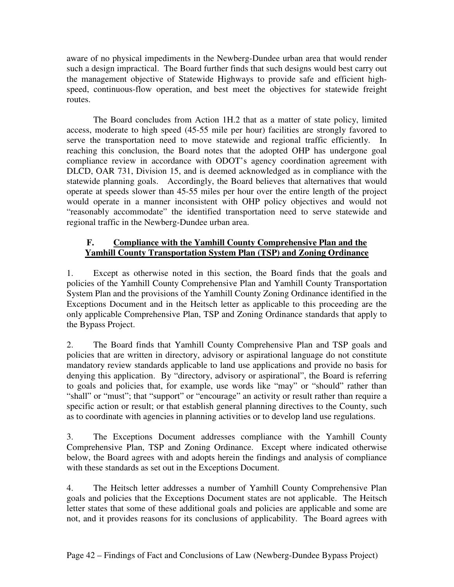aware of no physical impediments in the Newberg-Dundee urban area that would render such a design impractical. The Board further finds that such designs would best carry out the management objective of Statewide Highways to provide safe and efficient highspeed, continuous-flow operation, and best meet the objectives for statewide freight routes.

The Board concludes from Action 1H.2 that as a matter of state policy, limited access, moderate to high speed (45-55 mile per hour) facilities are strongly favored to serve the transportation need to move statewide and regional traffic efficiently. In reaching this conclusion, the Board notes that the adopted OHP has undergone goal compliance review in accordance with ODOT's agency coordination agreement with DLCD, OAR 731, Division 15, and is deemed acknowledged as in compliance with the statewide planning goals. Accordingly, the Board believes that alternatives that would operate at speeds slower than 45-55 miles per hour over the entire length of the project would operate in a manner inconsistent with OHP policy objectives and would not "reasonably accommodate" the identified transportation need to serve statewide and regional traffic in the Newberg-Dundee urban area.

## **F. Compliance with the Yamhill County Comprehensive Plan and the Yamhill County Transportation System Plan (TSP) and Zoning Ordinance**

1. Except as otherwise noted in this section, the Board finds that the goals and policies of the Yamhill County Comprehensive Plan and Yamhill County Transportation System Plan and the provisions of the Yamhill County Zoning Ordinance identified in the Exceptions Document and in the Heitsch letter as applicable to this proceeding are the only applicable Comprehensive Plan, TSP and Zoning Ordinance standards that apply to the Bypass Project.

2. The Board finds that Yamhill County Comprehensive Plan and TSP goals and policies that are written in directory, advisory or aspirational language do not constitute mandatory review standards applicable to land use applications and provide no basis for denying this application. By "directory, advisory or aspirational", the Board is referring to goals and policies that, for example, use words like "may" or "should" rather than "shall" or "must"; that "support" or "encourage" an activity or result rather than require a specific action or result; or that establish general planning directives to the County, such as to coordinate with agencies in planning activities or to develop land use regulations.

3. The Exceptions Document addresses compliance with the Yamhill County Comprehensive Plan, TSP and Zoning Ordinance. Except where indicated otherwise below, the Board agrees with and adopts herein the findings and analysis of compliance with these standards as set out in the Exceptions Document.

4. The Heitsch letter addresses a number of Yamhill County Comprehensive Plan goals and policies that the Exceptions Document states are not applicable. The Heitsch letter states that some of these additional goals and policies are applicable and some are not, and it provides reasons for its conclusions of applicability. The Board agrees with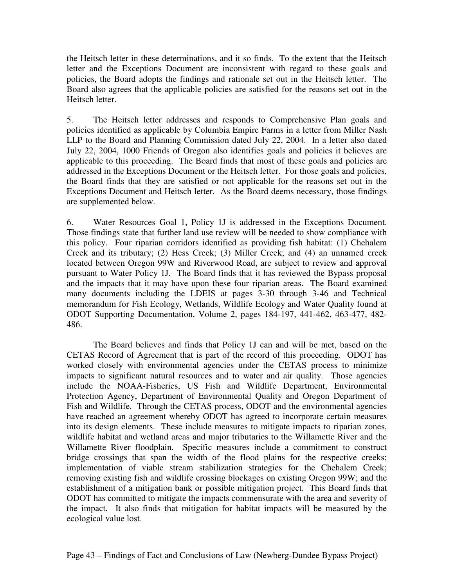the Heitsch letter in these determinations, and it so finds. To the extent that the Heitsch letter and the Exceptions Document are inconsistent with regard to these goals and policies, the Board adopts the findings and rationale set out in the Heitsch letter. The Board also agrees that the applicable policies are satisfied for the reasons set out in the Heitsch letter.

5. The Heitsch letter addresses and responds to Comprehensive Plan goals and policies identified as applicable by Columbia Empire Farms in a letter from Miller Nash LLP to the Board and Planning Commission dated July 22, 2004. In a letter also dated July 22, 2004, 1000 Friends of Oregon also identifies goals and policies it believes are applicable to this proceeding. The Board finds that most of these goals and policies are addressed in the Exceptions Document or the Heitsch letter. For those goals and policies, the Board finds that they are satisfied or not applicable for the reasons set out in the Exceptions Document and Heitsch letter. As the Board deems necessary, those findings are supplemented below.

6. Water Resources Goal 1, Policy 1J is addressed in the Exceptions Document. Those findings state that further land use review will be needed to show compliance with this policy. Four riparian corridors identified as providing fish habitat: (1) Chehalem Creek and its tributary; (2) Hess Creek; (3) Miller Creek; and (4) an unnamed creek located between Oregon 99W and Riverwood Road, are subject to review and approval pursuant to Water Policy 1J. The Board finds that it has reviewed the Bypass proposal and the impacts that it may have upon these four riparian areas. The Board examined many documents including the LDEIS at pages 3-30 through 3-46 and Technical memorandum for Fish Ecology, Wetlands, Wildlife Ecology and Water Quality found at ODOT Supporting Documentation, Volume 2, pages 184-197, 441-462, 463-477, 482- 486.

The Board believes and finds that Policy 1J can and will be met, based on the CETAS Record of Agreement that is part of the record of this proceeding. ODOT has worked closely with environmental agencies under the CETAS process to minimize impacts to significant natural resources and to water and air quality. Those agencies include the NOAA-Fisheries, US Fish and Wildlife Department, Environmental Protection Agency, Department of Environmental Quality and Oregon Department of Fish and Wildlife. Through the CETAS process, ODOT and the environmental agencies have reached an agreement whereby ODOT has agreed to incorporate certain measures into its design elements. These include measures to mitigate impacts to riparian zones, wildlife habitat and wetland areas and major tributaries to the Willamette River and the Willamette River floodplain. Specific measures include a commitment to construct bridge crossings that span the width of the flood plains for the respective creeks; implementation of viable stream stabilization strategies for the Chehalem Creek; removing existing fish and wildlife crossing blockages on existing Oregon 99W; and the establishment of a mitigation bank or possible mitigation project. This Board finds that ODOT has committed to mitigate the impacts commensurate with the area and severity of the impact. It also finds that mitigation for habitat impacts will be measured by the ecological value lost.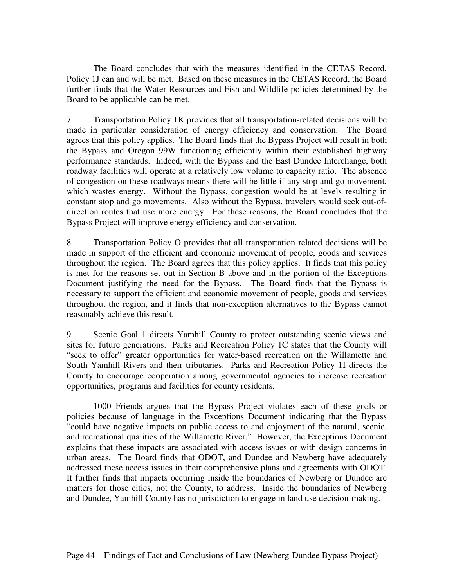The Board concludes that with the measures identified in the CETAS Record, Policy 1J can and will be met. Based on these measures in the CETAS Record, the Board further finds that the Water Resources and Fish and Wildlife policies determined by the Board to be applicable can be met.

7. Transportation Policy 1K provides that all transportation-related decisions will be made in particular consideration of energy efficiency and conservation. The Board agrees that this policy applies. The Board finds that the Bypass Project will result in both the Bypass and Oregon 99W functioning efficiently within their established highway performance standards. Indeed, with the Bypass and the East Dundee Interchange, both roadway facilities will operate at a relatively low volume to capacity ratio. The absence of congestion on these roadways means there will be little if any stop and go movement, which wastes energy. Without the Bypass, congestion would be at levels resulting in constant stop and go movements. Also without the Bypass, travelers would seek out-ofdirection routes that use more energy. For these reasons, the Board concludes that the Bypass Project will improve energy efficiency and conservation.

8. Transportation Policy O provides that all transportation related decisions will be made in support of the efficient and economic movement of people, goods and services throughout the region. The Board agrees that this policy applies. It finds that this policy is met for the reasons set out in Section B above and in the portion of the Exceptions Document justifying the need for the Bypass. The Board finds that the Bypass is necessary to support the efficient and economic movement of people, goods and services throughout the region, and it finds that non-exception alternatives to the Bypass cannot reasonably achieve this result.

9. Scenic Goal 1 directs Yamhill County to protect outstanding scenic views and sites for future generations. Parks and Recreation Policy 1C states that the County will "seek to offer" greater opportunities for water-based recreation on the Willamette and South Yamhill Rivers and their tributaries. Parks and Recreation Policy 1I directs the County to encourage cooperation among governmental agencies to increase recreation opportunities, programs and facilities for county residents.

1000 Friends argues that the Bypass Project violates each of these goals or policies because of language in the Exceptions Document indicating that the Bypass "could have negative impacts on public access to and enjoyment of the natural, scenic, and recreational qualities of the Willamette River." However, the Exceptions Document explains that these impacts are associated with access issues or with design concerns in urban areas. The Board finds that ODOT, and Dundee and Newberg have adequately addressed these access issues in their comprehensive plans and agreements with ODOT. It further finds that impacts occurring inside the boundaries of Newberg or Dundee are matters for those cities, not the County, to address. Inside the boundaries of Newberg and Dundee, Yamhill County has no jurisdiction to engage in land use decision-making.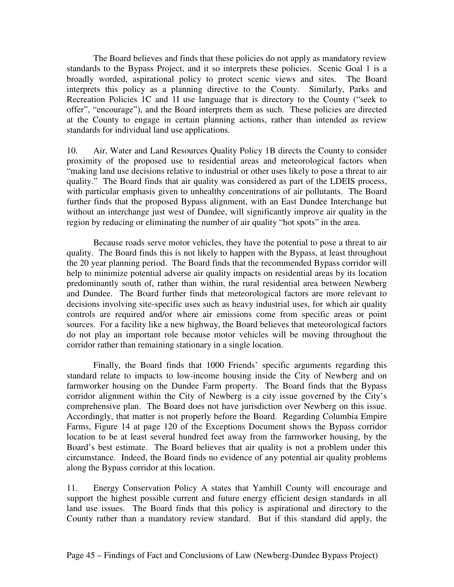The Board believes and finds that these policies do not apply as mandatory review standards to the Bypass Project, and it so interprets these policies. Scenic Goal 1 is a broadly worded, aspirational policy to protect scenic views and sites. The Board interprets this policy as a planning directive to the County. Similarly, Parks and Recreation Policies 1C and 1I use language that is directory to the County ("seek to offer", "encourage"), and the Board interprets them as such. These policies are directed at the County to engage in certain planning actions, rather than intended as review standards for individual land use applications.

10. Air, Water and Land Resources Quality Policy 1B directs the County to consider proximity of the proposed use to residential areas and meteorological factors when "making land use decisions relative to industrial or other uses likely to pose a threat to air quality." The Board finds that air quality was considered as part of the LDEIS process, with particular emphasis given to unhealthy concentrations of air pollutants. The Board further finds that the proposed Bypass alignment, with an East Dundee Interchange but without an interchange just west of Dundee, will significantly improve air quality in the region by reducing or eliminating the number of air quality "hot spots" in the area.

Because roads serve motor vehicles, they have the potential to pose a threat to air quality. The Board finds this is not likely to happen with the Bypass, at least throughout the 20 year planning period. The Board finds that the recommended Bypass corridor will help to minimize potential adverse air quality impacts on residential areas by its location predominantly south of, rather than within, the rural residential area between Newberg and Dundee. The Board further finds that meteorological factors are more relevant to decisions involving site-specific uses such as heavy industrial uses, for which air quality controls are required and/or where air emissions come from specific areas or point sources. For a facility like a new highway, the Board believes that meteorological factors do not play an important role because motor vehicles will be moving throughout the corridor rather than remaining stationary in a single location.

Finally, the Board finds that 1000 Friends' specific arguments regarding this standard relate to impacts to low-income housing inside the City of Newberg and on farmworker housing on the Dundee Farm property. The Board finds that the Bypass corridor alignment within the City of Newberg is a city issue governed by the City's comprehensive plan. The Board does not have jurisdiction over Newberg on this issue. Accordingly, that matter is not properly before the Board. Regarding Columbia Empire Farms, Figure 14 at page 120 of the Exceptions Document shows the Bypass corridor location to be at least several hundred feet away from the farmworker housing, by the Board's best estimate. The Board believes that air quality is not a problem under this circumstance. Indeed, the Board finds no evidence of any potential air quality problems along the Bypass corridor at this location.

11. Energy Conservation Policy A states that Yamhill County will encourage and support the highest possible current and future energy efficient design standards in all land use issues. The Board finds that this policy is aspirational and directory to the County rather than a mandatory review standard. But if this standard did apply, the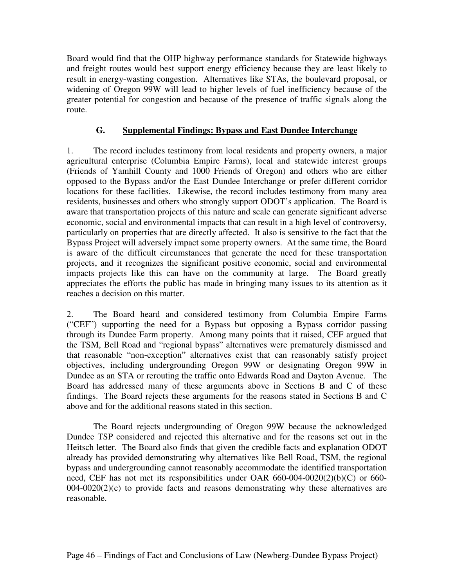Board would find that the OHP highway performance standards for Statewide highways and freight routes would best support energy efficiency because they are least likely to result in energy-wasting congestion. Alternatives like STAs, the boulevard proposal, or widening of Oregon 99W will lead to higher levels of fuel inefficiency because of the greater potential for congestion and because of the presence of traffic signals along the route.

## **G. Supplemental Findings: Bypass and East Dundee Interchange**

1. The record includes testimony from local residents and property owners, a major agricultural enterprise (Columbia Empire Farms), local and statewide interest groups (Friends of Yamhill County and 1000 Friends of Oregon) and others who are either opposed to the Bypass and/or the East Dundee Interchange or prefer different corridor locations for these facilities. Likewise, the record includes testimony from many area residents, businesses and others who strongly support ODOT's application. The Board is aware that transportation projects of this nature and scale can generate significant adverse economic, social and environmental impacts that can result in a high level of controversy, particularly on properties that are directly affected. It also is sensitive to the fact that the Bypass Project will adversely impact some property owners. At the same time, the Board is aware of the difficult circumstances that generate the need for these transportation projects, and it recognizes the significant positive economic, social and environmental impacts projects like this can have on the community at large. The Board greatly appreciates the efforts the public has made in bringing many issues to its attention as it reaches a decision on this matter.

2. The Board heard and considered testimony from Columbia Empire Farms ("CEF") supporting the need for a Bypass but opposing a Bypass corridor passing through its Dundee Farm property. Among many points that it raised, CEF argued that the TSM, Bell Road and "regional bypass" alternatives were prematurely dismissed and that reasonable "non-exception" alternatives exist that can reasonably satisfy project objectives, including undergrounding Oregon 99W or designating Oregon 99W in Dundee as an STA or rerouting the traffic onto Edwards Road and Dayton Avenue. The Board has addressed many of these arguments above in Sections B and C of these findings. The Board rejects these arguments for the reasons stated in Sections B and C above and for the additional reasons stated in this section.

The Board rejects undergrounding of Oregon 99W because the acknowledged Dundee TSP considered and rejected this alternative and for the reasons set out in the Heitsch letter. The Board also finds that given the credible facts and explanation ODOT already has provided demonstrating why alternatives like Bell Road, TSM, the regional bypass and undergrounding cannot reasonably accommodate the identified transportation need, CEF has not met its responsibilities under OAR 660-004-0020(2)(b)(C) or 660-  $004-0020(2)(c)$  to provide facts and reasons demonstrating why these alternatives are reasonable.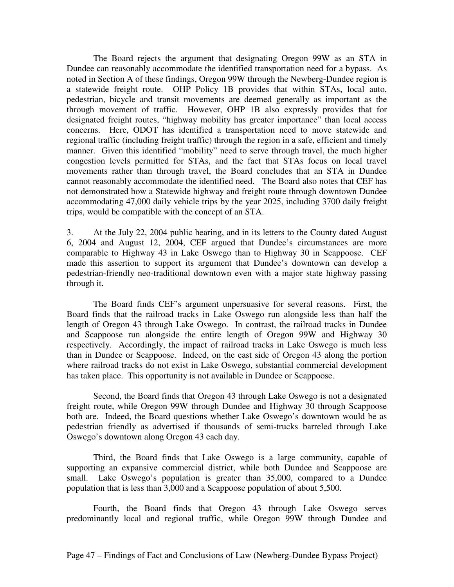The Board rejects the argument that designating Oregon 99W as an STA in Dundee can reasonably accommodate the identified transportation need for a bypass. As noted in Section A of these findings, Oregon 99W through the Newberg-Dundee region is a statewide freight route. OHP Policy 1B provides that within STAs, local auto, pedestrian, bicycle and transit movements are deemed generally as important as the through movement of traffic. However, OHP 1B also expressly provides that for designated freight routes, "highway mobility has greater importance" than local access concerns. Here, ODOT has identified a transportation need to move statewide and regional traffic (including freight traffic) through the region in a safe, efficient and timely manner. Given this identified "mobility" need to serve through travel, the much higher congestion levels permitted for STAs, and the fact that STAs focus on local travel movements rather than through travel, the Board concludes that an STA in Dundee cannot reasonably accommodate the identified need. The Board also notes that CEF has not demonstrated how a Statewide highway and freight route through downtown Dundee accommodating 47,000 daily vehicle trips by the year 2025, including 3700 daily freight trips, would be compatible with the concept of an STA.

3. At the July 22, 2004 public hearing, and in its letters to the County dated August 6, 2004 and August 12, 2004, CEF argued that Dundee's circumstances are more comparable to Highway 43 in Lake Oswego than to Highway 30 in Scappoose. CEF made this assertion to support its argument that Dundee's downtown can develop a pedestrian-friendly neo-traditional downtown even with a major state highway passing through it.

The Board finds CEF's argument unpersuasive for several reasons. First, the Board finds that the railroad tracks in Lake Oswego run alongside less than half the length of Oregon 43 through Lake Oswego. In contrast, the railroad tracks in Dundee and Scappoose run alongside the entire length of Oregon 99W and Highway 30 respectively. Accordingly, the impact of railroad tracks in Lake Oswego is much less than in Dundee or Scappoose. Indeed, on the east side of Oregon 43 along the portion where railroad tracks do not exist in Lake Oswego, substantial commercial development has taken place. This opportunity is not available in Dundee or Scappoose.

Second, the Board finds that Oregon 43 through Lake Oswego is not a designated freight route, while Oregon 99W through Dundee and Highway 30 through Scappoose both are. Indeed, the Board questions whether Lake Oswego's downtown would be as pedestrian friendly as advertised if thousands of semi-trucks barreled through Lake Oswego's downtown along Oregon 43 each day.

Third, the Board finds that Lake Oswego is a large community, capable of supporting an expansive commercial district, while both Dundee and Scappoose are small. Lake Oswego's population is greater than 35,000, compared to a Dundee population that is less than 3,000 and a Scappoose population of about 5,500.

Fourth, the Board finds that Oregon 43 through Lake Oswego serves predominantly local and regional traffic, while Oregon 99W through Dundee and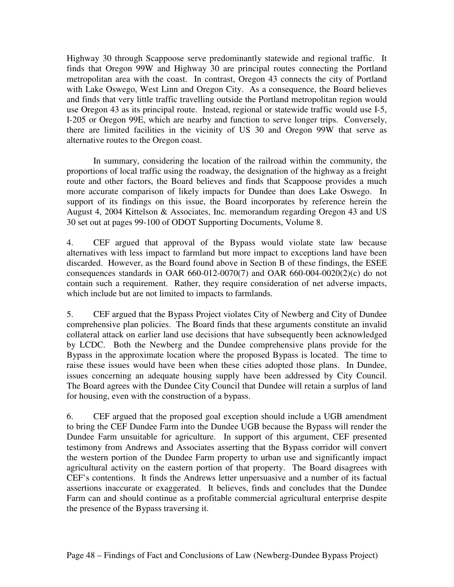Highway 30 through Scappoose serve predominantly statewide and regional traffic. It finds that Oregon 99W and Highway 30 are principal routes connecting the Portland metropolitan area with the coast. In contrast, Oregon 43 connects the city of Portland with Lake Oswego, West Linn and Oregon City. As a consequence, the Board believes and finds that very little traffic travelling outside the Portland metropolitan region would use Oregon 43 as its principal route. Instead, regional or statewide traffic would use I-5, I-205 or Oregon 99E, which are nearby and function to serve longer trips. Conversely, there are limited facilities in the vicinity of US 30 and Oregon 99W that serve as alternative routes to the Oregon coast.

In summary, considering the location of the railroad within the community, the proportions of local traffic using the roadway, the designation of the highway as a freight route and other factors, the Board believes and finds that Scappoose provides a much more accurate comparison of likely impacts for Dundee than does Lake Oswego. In support of its findings on this issue, the Board incorporates by reference herein the August 4, 2004 Kittelson & Associates, Inc. memorandum regarding Oregon 43 and US 30 set out at pages 99-100 of ODOT Supporting Documents, Volume 8.

4. CEF argued that approval of the Bypass would violate state law because alternatives with less impact to farmland but more impact to exceptions land have been discarded. However, as the Board found above in Section B of these findings, the ESEE consequences standards in OAR 660-012-0070(7) and OAR 660-004-0020(2)(c) do not contain such a requirement. Rather, they require consideration of net adverse impacts, which include but are not limited to impacts to farmlands.

5. CEF argued that the Bypass Project violates City of Newberg and City of Dundee comprehensive plan policies. The Board finds that these arguments constitute an invalid collateral attack on earlier land use decisions that have subsequently been acknowledged by LCDC. Both the Newberg and the Dundee comprehensive plans provide for the Bypass in the approximate location where the proposed Bypass is located. The time to raise these issues would have been when these cities adopted those plans. In Dundee, issues concerning an adequate housing supply have been addressed by City Council. The Board agrees with the Dundee City Council that Dundee will retain a surplus of land for housing, even with the construction of a bypass.

6. CEF argued that the proposed goal exception should include a UGB amendment to bring the CEF Dundee Farm into the Dundee UGB because the Bypass will render the Dundee Farm unsuitable for agriculture. In support of this argument, CEF presented testimony from Andrews and Associates asserting that the Bypass corridor will convert the western portion of the Dundee Farm property to urban use and significantly impact agricultural activity on the eastern portion of that property. The Board disagrees with CEF's contentions. It finds the Andrews letter unpersuasive and a number of its factual assertions inaccurate or exaggerated. It believes, finds and concludes that the Dundee Farm can and should continue as a profitable commercial agricultural enterprise despite the presence of the Bypass traversing it.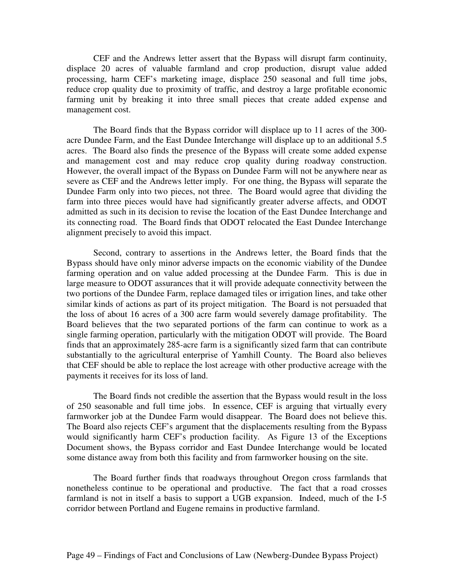CEF and the Andrews letter assert that the Bypass will disrupt farm continuity, displace 20 acres of valuable farmland and crop production, disrupt value added processing, harm CEF's marketing image, displace 250 seasonal and full time jobs, reduce crop quality due to proximity of traffic, and destroy a large profitable economic farming unit by breaking it into three small pieces that create added expense and management cost.

The Board finds that the Bypass corridor will displace up to 11 acres of the 300 acre Dundee Farm, and the East Dundee Interchange will displace up to an additional 5.5 acres. The Board also finds the presence of the Bypass will create some added expense and management cost and may reduce crop quality during roadway construction. However, the overall impact of the Bypass on Dundee Farm will not be anywhere near as severe as CEF and the Andrews letter imply. For one thing, the Bypass will separate the Dundee Farm only into two pieces, not three. The Board would agree that dividing the farm into three pieces would have had significantly greater adverse affects, and ODOT admitted as such in its decision to revise the location of the East Dundee Interchange and its connecting road. The Board finds that ODOT relocated the East Dundee Interchange alignment precisely to avoid this impact.

Second, contrary to assertions in the Andrews letter, the Board finds that the Bypass should have only minor adverse impacts on the economic viability of the Dundee farming operation and on value added processing at the Dundee Farm. This is due in large measure to ODOT assurances that it will provide adequate connectivity between the two portions of the Dundee Farm, replace damaged tiles or irrigation lines, and take other similar kinds of actions as part of its project mitigation. The Board is not persuaded that the loss of about 16 acres of a 300 acre farm would severely damage profitability. The Board believes that the two separated portions of the farm can continue to work as a single farming operation, particularly with the mitigation ODOT will provide. The Board finds that an approximately 285-acre farm is a significantly sized farm that can contribute substantially to the agricultural enterprise of Yamhill County. The Board also believes that CEF should be able to replace the lost acreage with other productive acreage with the payments it receives for its loss of land.

The Board finds not credible the assertion that the Bypass would result in the loss of 250 seasonable and full time jobs. In essence, CEF is arguing that virtually every farmworker job at the Dundee Farm would disappear. The Board does not believe this. The Board also rejects CEF's argument that the displacements resulting from the Bypass would significantly harm CEF's production facility. As Figure 13 of the Exceptions Document shows, the Bypass corridor and East Dundee Interchange would be located some distance away from both this facility and from farmworker housing on the site.

The Board further finds that roadways throughout Oregon cross farmlands that nonetheless continue to be operational and productive. The fact that a road crosses farmland is not in itself a basis to support a UGB expansion. Indeed, much of the I-5 corridor between Portland and Eugene remains in productive farmland.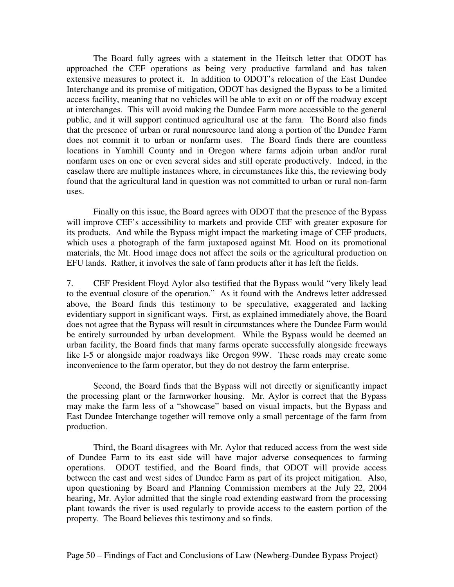The Board fully agrees with a statement in the Heitsch letter that ODOT has approached the CEF operations as being very productive farmland and has taken extensive measures to protect it. In addition to ODOT's relocation of the East Dundee Interchange and its promise of mitigation, ODOT has designed the Bypass to be a limited access facility, meaning that no vehicles will be able to exit on or off the roadway except at interchanges. This will avoid making the Dundee Farm more accessible to the general public, and it will support continued agricultural use at the farm. The Board also finds that the presence of urban or rural nonresource land along a portion of the Dundee Farm does not commit it to urban or nonfarm uses. The Board finds there are countless locations in Yamhill County and in Oregon where farms adjoin urban and/or rural nonfarm uses on one or even several sides and still operate productively. Indeed, in the caselaw there are multiple instances where, in circumstances like this, the reviewing body found that the agricultural land in question was not committed to urban or rural non-farm uses.

Finally on this issue, the Board agrees with ODOT that the presence of the Bypass will improve CEF's accessibility to markets and provide CEF with greater exposure for its products. And while the Bypass might impact the marketing image of CEF products, which uses a photograph of the farm juxtaposed against Mt. Hood on its promotional materials, the Mt. Hood image does not affect the soils or the agricultural production on EFU lands. Rather, it involves the sale of farm products after it has left the fields.

7. CEF President Floyd Aylor also testified that the Bypass would "very likely lead to the eventual closure of the operation." As it found with the Andrews letter addressed above, the Board finds this testimony to be speculative, exaggerated and lacking evidentiary support in significant ways. First, as explained immediately above, the Board does not agree that the Bypass will result in circumstances where the Dundee Farm would be entirely surrounded by urban development. While the Bypass would be deemed an urban facility, the Board finds that many farms operate successfully alongside freeways like I-5 or alongside major roadways like Oregon 99W. These roads may create some inconvenience to the farm operator, but they do not destroy the farm enterprise.

Second, the Board finds that the Bypass will not directly or significantly impact the processing plant or the farmworker housing. Mr. Aylor is correct that the Bypass may make the farm less of a "showcase" based on visual impacts, but the Bypass and East Dundee Interchange together will remove only a small percentage of the farm from production.

Third, the Board disagrees with Mr. Aylor that reduced access from the west side of Dundee Farm to its east side will have major adverse consequences to farming operations. ODOT testified, and the Board finds, that ODOT will provide access between the east and west sides of Dundee Farm as part of its project mitigation. Also, upon questioning by Board and Planning Commission members at the July 22, 2004 hearing, Mr. Aylor admitted that the single road extending eastward from the processing plant towards the river is used regularly to provide access to the eastern portion of the property. The Board believes this testimony and so finds.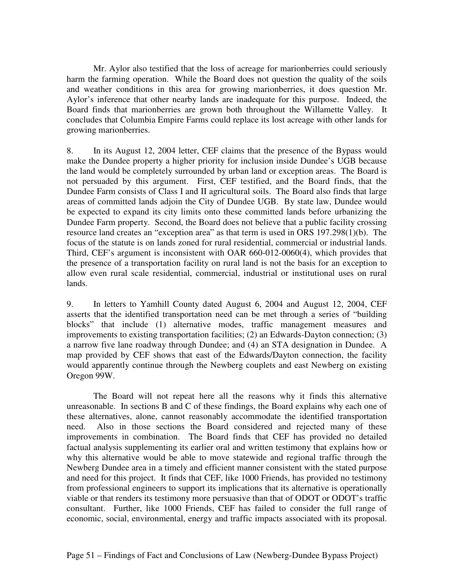Mr. Aylor also testified that the loss of acreage for marionberries could seriously harm the farming operation. While the Board does not question the quality of the soils and weather conditions in this area for growing marionberries, it does question Mr. Aylor's inference that other nearby lands are inadequate for this purpose. Indeed, the Board finds that marionberries are grown both throughout the Willamette Valley. It concludes that Columbia Empire Farms could replace its lost acreage with other lands for growing marionberries.

8. In its August 12, 2004 letter, CEF claims that the presence of the Bypass would make the Dundee property a higher priority for inclusion inside Dundee's UGB because the land would be completely surrounded by urban land or exception areas. The Board is not persuaded by this argument. First, CEF testified, and the Board finds, that the Dundee Farm consists of Class I and II agricultural soils. The Board also finds that large areas of committed lands adjoin the City of Dundee UGB. By state law, Dundee would be expected to expand its city limits onto these committed lands before urbanizing the Dundee Farm property. Second, the Board does not believe that a public facility crossing resource land creates an "exception area" as that term is used in ORS 197.298(1)(b). The focus of the statute is on lands zoned for rural residential, commercial or industrial lands. Third, CEF's argument is inconsistent with OAR 660-012-0060(4), which provides that the presence of a transportation facility on rural land is not the basis for an exception to allow even rural scale residential, commercial, industrial or institutional uses on rural lands.

9. In letters to Yamhill County dated August 6, 2004 and August 12, 2004, CEF asserts that the identified transportation need can be met through a series of "building blocks" that include (1) alternative modes, traffic management measures and improvements to existing transportation facilities; (2) an Edwards-Dayton connection; (3) a narrow five lane roadway through Dundee; and (4) an STA designation in Dundee. A map provided by CEF shows that east of the Edwards/Dayton connection, the facility would apparently continue through the Newberg couplets and east Newberg on existing Oregon 99W.

The Board will not repeat here all the reasons why it finds this alternative unreasonable. In sections B and C of these findings, the Board explains why each one of these alternatives, alone, cannot reasonably accommodate the identified transportation need. Also in those sections the Board considered and rejected many of these improvements in combination. The Board finds that CEF has provided no detailed factual analysis supplementing its earlier oral and written testimony that explains how or why this alternative would be able to move statewide and regional traffic through the Newberg Dundee area in a timely and efficient manner consistent with the stated purpose and need for this project. It finds that CEF, like 1000 Friends, has provided no testimony from professional engineers to support its implications that its alternative is operationally viable or that renders its testimony more persuasive than that of ODOT or ODOT's traffic consultant. Further, like 1000 Friends, CEF has failed to consider the full range of economic, social, environmental, energy and traffic impacts associated with its proposal.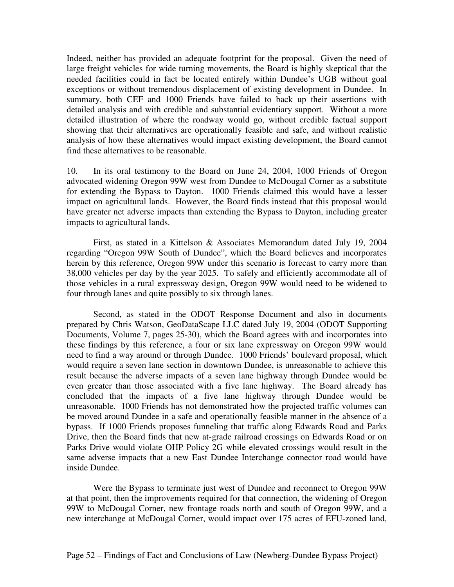Indeed, neither has provided an adequate footprint for the proposal. Given the need of large freight vehicles for wide turning movements, the Board is highly skeptical that the needed facilities could in fact be located entirely within Dundee's UGB without goal exceptions or without tremendous displacement of existing development in Dundee. In summary, both CEF and 1000 Friends have failed to back up their assertions with detailed analysis and with credible and substantial evidentiary support. Without a more detailed illustration of where the roadway would go, without credible factual support showing that their alternatives are operationally feasible and safe, and without realistic analysis of how these alternatives would impact existing development, the Board cannot find these alternatives to be reasonable.

10. In its oral testimony to the Board on June 24, 2004, 1000 Friends of Oregon advocated widening Oregon 99W west from Dundee to McDougal Corner as a substitute for extending the Bypass to Dayton. 1000 Friends claimed this would have a lesser impact on agricultural lands. However, the Board finds instead that this proposal would have greater net adverse impacts than extending the Bypass to Dayton, including greater impacts to agricultural lands.

First, as stated in a Kittelson & Associates Memorandum dated July 19, 2004 regarding "Oregon 99W South of Dundee", which the Board believes and incorporates herein by this reference, Oregon 99W under this scenario is forecast to carry more than 38,000 vehicles per day by the year 2025. To safely and efficiently accommodate all of those vehicles in a rural expressway design, Oregon 99W would need to be widened to four through lanes and quite possibly to six through lanes.

Second, as stated in the ODOT Response Document and also in documents prepared by Chris Watson, GeoDataScape LLC dated July 19, 2004 (ODOT Supporting Documents, Volume 7, pages 25-30), which the Board agrees with and incorporates into these findings by this reference, a four or six lane expressway on Oregon 99W would need to find a way around or through Dundee. 1000 Friends' boulevard proposal, which would require a seven lane section in downtown Dundee, is unreasonable to achieve this result because the adverse impacts of a seven lane highway through Dundee would be even greater than those associated with a five lane highway. The Board already has concluded that the impacts of a five lane highway through Dundee would be unreasonable. 1000 Friends has not demonstrated how the projected traffic volumes can be moved around Dundee in a safe and operationally feasible manner in the absence of a bypass. If 1000 Friends proposes funneling that traffic along Edwards Road and Parks Drive, then the Board finds that new at-grade railroad crossings on Edwards Road or on Parks Drive would violate OHP Policy 2G while elevated crossings would result in the same adverse impacts that a new East Dundee Interchange connector road would have inside Dundee.

Were the Bypass to terminate just west of Dundee and reconnect to Oregon 99W at that point, then the improvements required for that connection, the widening of Oregon 99W to McDougal Corner, new frontage roads north and south of Oregon 99W, and a new interchange at McDougal Corner, would impact over 175 acres of EFU-zoned land,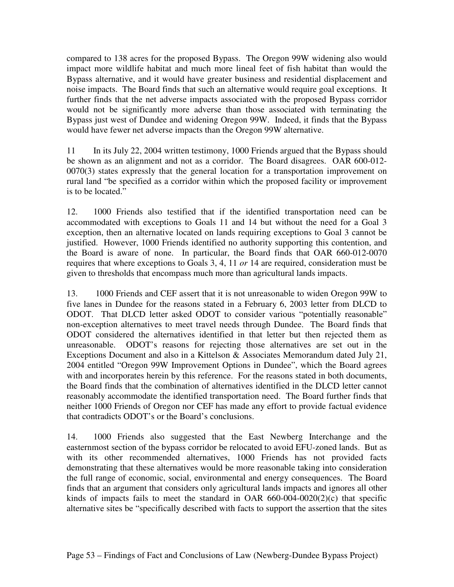compared to 138 acres for the proposed Bypass. The Oregon 99W widening also would impact more wildlife habitat and much more lineal feet of fish habitat than would the Bypass alternative, and it would have greater business and residential displacement and noise impacts. The Board finds that such an alternative would require goal exceptions. It further finds that the net adverse impacts associated with the proposed Bypass corridor would not be significantly more adverse than those associated with terminating the Bypass just west of Dundee and widening Oregon 99W. Indeed, it finds that the Bypass would have fewer net adverse impacts than the Oregon 99W alternative.

11 In its July 22, 2004 written testimony, 1000 Friends argued that the Bypass should be shown as an alignment and not as a corridor. The Board disagrees. OAR 600-012- 0070(3) states expressly that the general location for a transportation improvement on rural land "be specified as a corridor within which the proposed facility or improvement is to be located."

12. 1000 Friends also testified that if the identified transportation need can be accommodated with exceptions to Goals 11 and 14 but without the need for a Goal 3 exception, then an alternative located on lands requiring exceptions to Goal 3 cannot be justified. However, 1000 Friends identified no authority supporting this contention, and the Board is aware of none. In particular, the Board finds that OAR 660-012-0070 requires that where exceptions to Goals 3, 4, 11 *or* 14 are required, consideration must be given to thresholds that encompass much more than agricultural lands impacts.

13. 1000 Friends and CEF assert that it is not unreasonable to widen Oregon 99W to five lanes in Dundee for the reasons stated in a February 6, 2003 letter from DLCD to ODOT. That DLCD letter asked ODOT to consider various "potentially reasonable" non-exception alternatives to meet travel needs through Dundee. The Board finds that ODOT considered the alternatives identified in that letter but then rejected them as unreasonable. ODOT's reasons for rejecting those alternatives are set out in the Exceptions Document and also in a Kittelson & Associates Memorandum dated July 21, 2004 entitled "Oregon 99W Improvement Options in Dundee", which the Board agrees with and incorporates herein by this reference. For the reasons stated in both documents, the Board finds that the combination of alternatives identified in the DLCD letter cannot reasonably accommodate the identified transportation need. The Board further finds that neither 1000 Friends of Oregon nor CEF has made any effort to provide factual evidence that contradicts ODOT's or the Board's conclusions.

14. 1000 Friends also suggested that the East Newberg Interchange and the easternmost section of the bypass corridor be relocated to avoid EFU-zoned lands. But as with its other recommended alternatives, 1000 Friends has not provided facts demonstrating that these alternatives would be more reasonable taking into consideration the full range of economic, social, environmental and energy consequences. The Board finds that an argument that considers only agricultural lands impacts and ignores all other kinds of impacts fails to meet the standard in OAR 660-004-0020(2)(c) that specific alternative sites be "specifically described with facts to support the assertion that the sites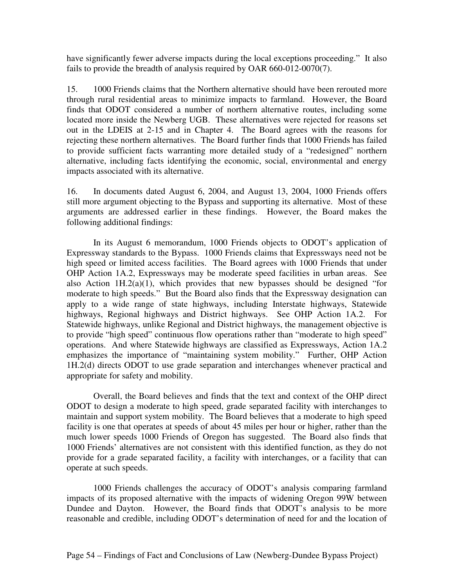have significantly fewer adverse impacts during the local exceptions proceeding." It also fails to provide the breadth of analysis required by OAR 660-012-0070(7).

15. 1000 Friends claims that the Northern alternative should have been rerouted more through rural residential areas to minimize impacts to farmland. However, the Board finds that ODOT considered a number of northern alternative routes, including some located more inside the Newberg UGB. These alternatives were rejected for reasons set out in the LDEIS at 2-15 and in Chapter 4. The Board agrees with the reasons for rejecting these northern alternatives. The Board further finds that 1000 Friends has failed to provide sufficient facts warranting more detailed study of a "redesigned" northern alternative, including facts identifying the economic, social, environmental and energy impacts associated with its alternative.

16. In documents dated August 6, 2004, and August 13, 2004, 1000 Friends offers still more argument objecting to the Bypass and supporting its alternative. Most of these arguments are addressed earlier in these findings. However, the Board makes the following additional findings:

In its August 6 memorandum, 1000 Friends objects to ODOT's application of Expressway standards to the Bypass. 1000 Friends claims that Expressways need not be high speed or limited access facilities. The Board agrees with 1000 Friends that under OHP Action 1A.2, Expressways may be moderate speed facilities in urban areas. See also Action  $1H.2(a)(1)$ , which provides that new bypasses should be designed "for moderate to high speeds." But the Board also finds that the Expressway designation can apply to a wide range of state highways, including Interstate highways, Statewide highways, Regional highways and District highways. See OHP Action 1A.2. For Statewide highways, unlike Regional and District highways, the management objective is to provide "high speed" continuous flow operations rather than "moderate to high speed" operations. And where Statewide highways are classified as Expressways, Action 1A.2 emphasizes the importance of "maintaining system mobility." Further, OHP Action 1H.2(d) directs ODOT to use grade separation and interchanges whenever practical and appropriate for safety and mobility.

Overall, the Board believes and finds that the text and context of the OHP direct ODOT to design a moderate to high speed, grade separated facility with interchanges to maintain and support system mobility. The Board believes that a moderate to high speed facility is one that operates at speeds of about 45 miles per hour or higher, rather than the much lower speeds 1000 Friends of Oregon has suggested. The Board also finds that 1000 Friends' alternatives are not consistent with this identified function, as they do not provide for a grade separated facility, a facility with interchanges, or a facility that can operate at such speeds.

1000 Friends challenges the accuracy of ODOT's analysis comparing farmland impacts of its proposed alternative with the impacts of widening Oregon 99W between Dundee and Dayton. However, the Board finds that ODOT's analysis to be more reasonable and credible, including ODOT's determination of need for and the location of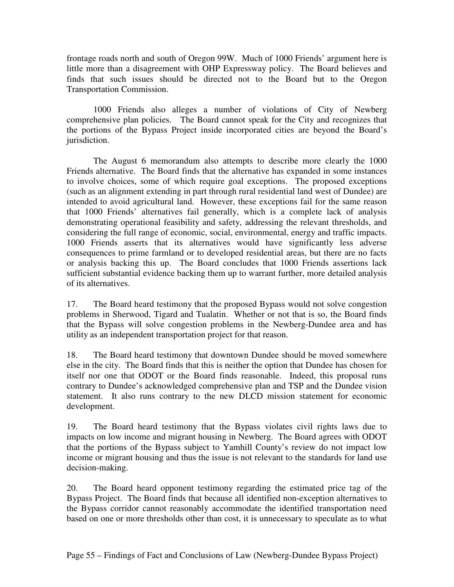frontage roads north and south of Oregon 99W. Much of 1000 Friends' argument here is little more than a disagreement with OHP Expressway policy. The Board believes and finds that such issues should be directed not to the Board but to the Oregon Transportation Commission.

1000 Friends also alleges a number of violations of City of Newberg comprehensive plan policies. The Board cannot speak for the City and recognizes that the portions of the Bypass Project inside incorporated cities are beyond the Board's jurisdiction.

The August 6 memorandum also attempts to describe more clearly the 1000 Friends alternative. The Board finds that the alternative has expanded in some instances to involve choices, some of which require goal exceptions. The proposed exceptions (such as an alignment extending in part through rural residential land west of Dundee) are intended to avoid agricultural land. However, these exceptions fail for the same reason that 1000 Friends' alternatives fail generally, which is a complete lack of analysis demonstrating operational feasibility and safety, addressing the relevant thresholds, and considering the full range of economic, social, environmental, energy and traffic impacts. 1000 Friends asserts that its alternatives would have significantly less adverse consequences to prime farmland or to developed residential areas, but there are no facts or analysis backing this up. The Board concludes that 1000 Friends assertions lack sufficient substantial evidence backing them up to warrant further, more detailed analysis of its alternatives.

17. The Board heard testimony that the proposed Bypass would not solve congestion problems in Sherwood, Tigard and Tualatin. Whether or not that is so, the Board finds that the Bypass will solve congestion problems in the Newberg-Dundee area and has utility as an independent transportation project for that reason.

18. The Board heard testimony that downtown Dundee should be moved somewhere else in the city. The Board finds that this is neither the option that Dundee has chosen for itself nor one that ODOT or the Board finds reasonable. Indeed, this proposal runs contrary to Dundee's acknowledged comprehensive plan and TSP and the Dundee vision statement. It also runs contrary to the new DLCD mission statement for economic development.

19. The Board heard testimony that the Bypass violates civil rights laws due to impacts on low income and migrant housing in Newberg. The Board agrees with ODOT that the portions of the Bypass subject to Yamhill County's review do not impact low income or migrant housing and thus the issue is not relevant to the standards for land use decision-making.

20. The Board heard opponent testimony regarding the estimated price tag of the Bypass Project. The Board finds that because all identified non-exception alternatives to the Bypass corridor cannot reasonably accommodate the identified transportation need based on one or more thresholds other than cost, it is unnecessary to speculate as to what